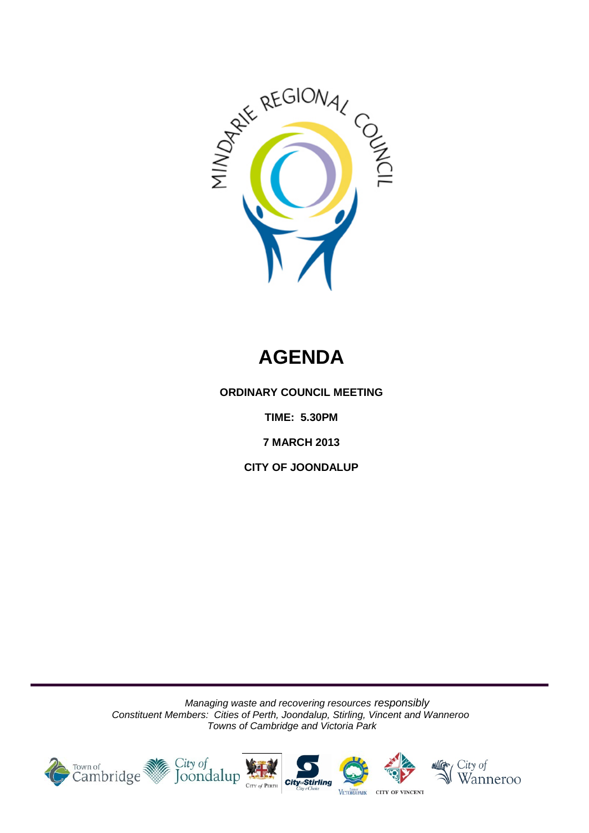

# **AGENDA**

**ORDINARY COUNCIL MEETING**

**TIME: 5.30PM**

**7 MARCH 2013** 

**CITY OF JOONDALUP**

*Managing waste and recovering resources responsibly Constituent Members: Cities of Perth, Joondalup, Stirling, Vincent and Wanneroo Towns of Cambridge and Victoria Park*

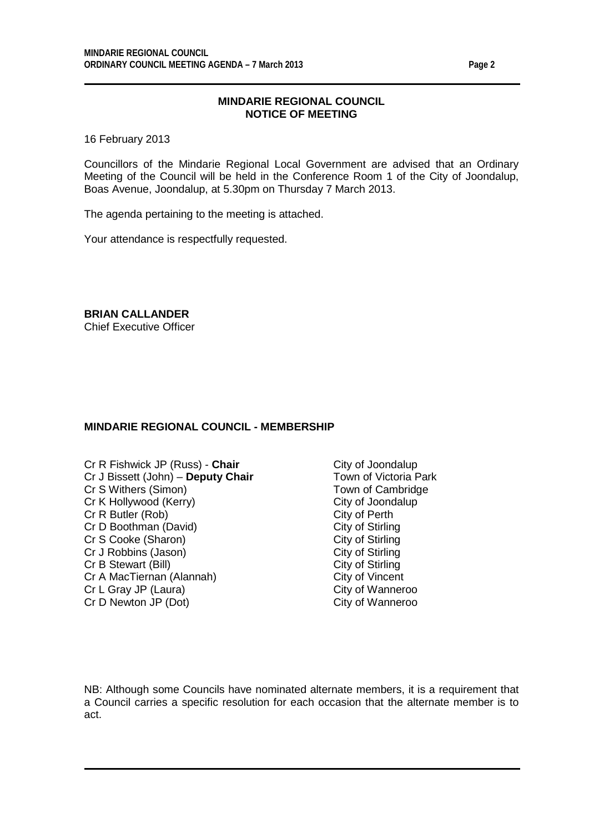## **MINDARIE REGIONAL COUNCIL NOTICE OF MEETING**

16 February 2013

Councillors of the Mindarie Regional Local Government are advised that an Ordinary Meeting of the Council will be held in the Conference Room 1 of the City of Joondalup, Boas Avenue, Joondalup, at 5.30pm on Thursday 7 March 2013.

The agenda pertaining to the meeting is attached.

Your attendance is respectfully requested.

**BRIAN CALLANDER** Chief Executive Officer

## **MINDARIE REGIONAL COUNCIL - MEMBERSHIP**

- Cr R Fishwick JP (Russ) **Chair** City of Joondalup<br>Cr J Bissett (John) **Deputy Chair** Town of Victoria Park Cr J Bissett (John) – **Deputy Chair** Cr S Withers (Simon) Town of Cambridge Cr K Hollywood (Kerry) City of Joondalup<br>
Cr R Butler (Rob) Cr R Butler (Rob) Cr R Butler (Rob) City of Perth<br>
Cr D Boothman (David) City of Stirling Cr D Boothman (David) City of Stirling<br>
Cr S Cooke (Sharon) City of Stirling Cr S Cooke (Sharon) City of Stirling<br>
Cr J Robbins (Jason) City of Stirling<br>
City of Stirling Cr J Robbins (Jason) City of Stirling<br>
Cr B Stewart (Bill) Cr Stirling<br>
City of Stirling Cr B Stewart (Bill) Cr A MacTiernan (Alannah) City of Vincent<br>
Cr L Gray JP (Laura) Cr L Gray City of Wanneroo Cr L Gray JP (Laura) Cr D Newton JP (Dot) City of Wanneroo
	-

NB: Although some Councils have nominated alternate members, it is a requirement that a Council carries a specific resolution for each occasion that the alternate member is to act.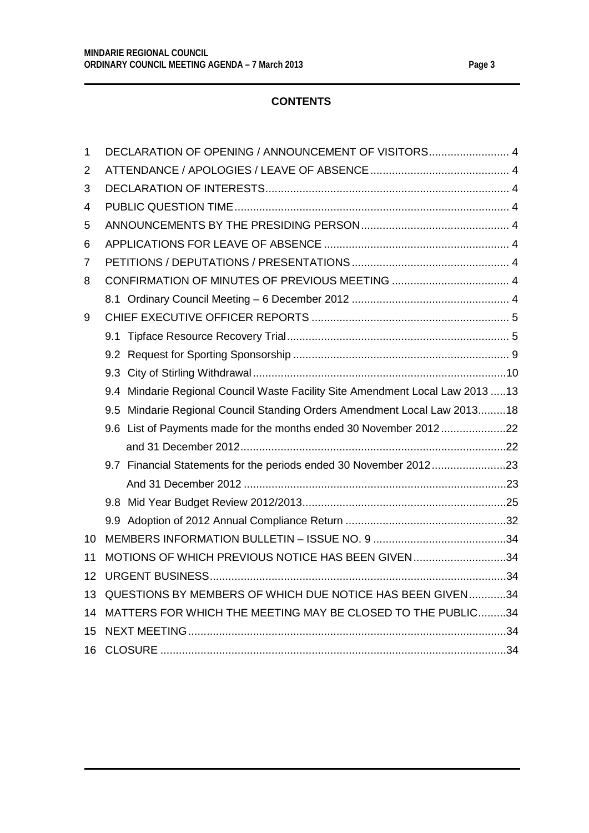## **CONTENTS**

| 1  |                                                             | DECLARATION OF OPENING / ANNOUNCEMENT OF VISITORS 4                            |  |  |
|----|-------------------------------------------------------------|--------------------------------------------------------------------------------|--|--|
| 2  |                                                             |                                                                                |  |  |
| 3  |                                                             |                                                                                |  |  |
| 4  |                                                             |                                                                                |  |  |
| 5  |                                                             |                                                                                |  |  |
| 6  |                                                             |                                                                                |  |  |
| 7  |                                                             |                                                                                |  |  |
| 8  |                                                             |                                                                                |  |  |
|    |                                                             |                                                                                |  |  |
| 9  |                                                             |                                                                                |  |  |
|    |                                                             |                                                                                |  |  |
|    |                                                             |                                                                                |  |  |
|    |                                                             |                                                                                |  |  |
|    |                                                             | 9.4 Mindarie Regional Council Waste Facility Site Amendment Local Law 2013  13 |  |  |
|    |                                                             | 9.5 Mindarie Regional Council Standing Orders Amendment Local Law 201318       |  |  |
|    |                                                             | 9.6 List of Payments made for the months ended 30 November 201222              |  |  |
|    |                                                             |                                                                                |  |  |
|    |                                                             | 9.7 Financial Statements for the periods ended 30 November 201223              |  |  |
|    |                                                             |                                                                                |  |  |
|    |                                                             |                                                                                |  |  |
|    |                                                             |                                                                                |  |  |
| 10 |                                                             |                                                                                |  |  |
| 11 |                                                             | MOTIONS OF WHICH PREVIOUS NOTICE HAS BEEN GIVEN34                              |  |  |
| 12 |                                                             |                                                                                |  |  |
| 13 |                                                             | QUESTIONS BY MEMBERS OF WHICH DUE NOTICE HAS BEEN GIVEN34                      |  |  |
| 14 | MATTERS FOR WHICH THE MEETING MAY BE CLOSED TO THE PUBLIC34 |                                                                                |  |  |
| 15 |                                                             |                                                                                |  |  |
| 16 |                                                             |                                                                                |  |  |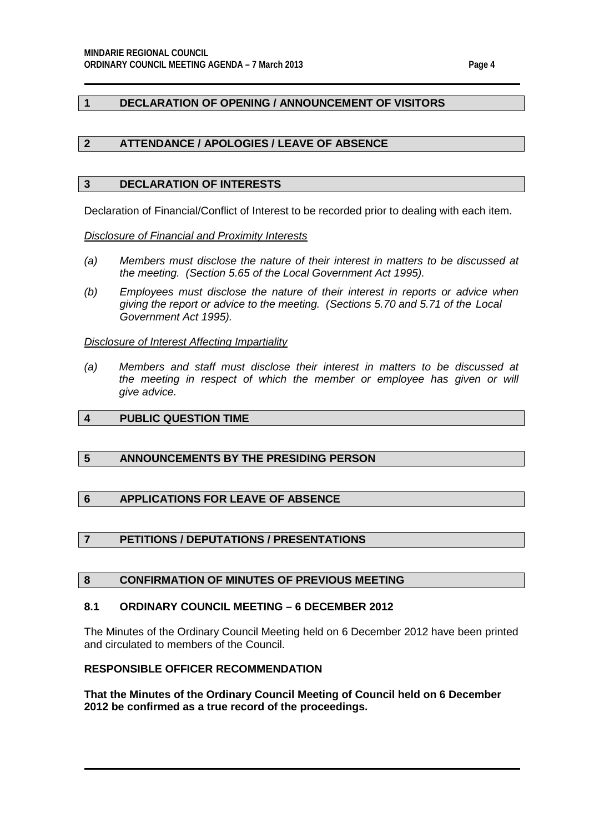## <span id="page-3-0"></span>**1 DECLARATION OF OPENING / ANNOUNCEMENT OF VISITORS**

## <span id="page-3-1"></span>**2 ATTENDANCE / APOLOGIES / LEAVE OF ABSENCE**

#### <span id="page-3-2"></span>**3 DECLARATION OF INTERESTS**

Declaration of Financial/Conflict of Interest to be recorded prior to dealing with each item.

*Disclosure of Financial and Proximity Interests*

- *(a) Members must disclose the nature of their interest in matters to be discussed at the meeting. (Section 5.65 of the Local Government Act 1995).*
- *(b) Employees must disclose the nature of their interest in reports or advice when giving the report or advice to the meeting. (Sections 5.70 and 5.71 of the Local Government Act 1995).*

#### *Disclosure of Interest Affecting Impartiality*

*(a) Members and staff must disclose their interest in matters to be discussed at*  the meeting in respect of which the member or employee has given or will *give advice.*

## <span id="page-3-3"></span>**4 PUBLIC QUESTION TIME**

## <span id="page-3-4"></span>**5 ANNOUNCEMENTS BY THE PRESIDING PERSON**

## <span id="page-3-5"></span>**6 APPLICATIONS FOR LEAVE OF ABSENCE**

## <span id="page-3-6"></span>**7 PETITIONS / DEPUTATIONS / PRESENTATIONS**

## <span id="page-3-7"></span>**8 CONFIRMATION OF MINUTES OF PREVIOUS MEETING**

## <span id="page-3-8"></span>**8.1 ORDINARY COUNCIL MEETING – 6 DECEMBER 2012**

The Minutes of the Ordinary Council Meeting held on 6 December 2012 have been printed and circulated to members of the Council.

## **RESPONSIBLE OFFICER RECOMMENDATION**

**That the Minutes of the Ordinary Council Meeting of Council held on 6 December 2012 be confirmed as a true record of the proceedings.**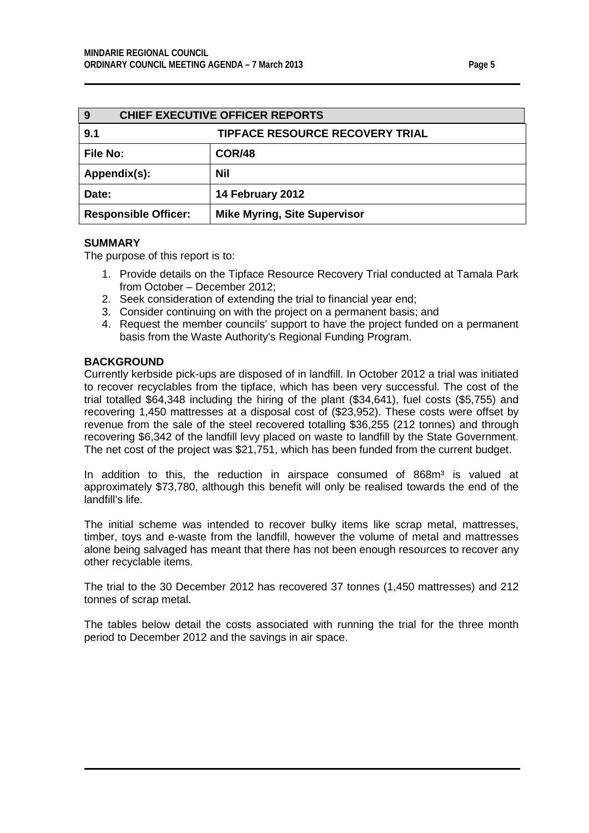<span id="page-4-1"></span><span id="page-4-0"></span>

| <b>CHIEF EXECUTIVE OFFICER REPORTS</b><br>9 |                                        |  |  |
|---------------------------------------------|----------------------------------------|--|--|
| 9.1                                         | <b>TIPFACE RESOURCE RECOVERY TRIAL</b> |  |  |
| <b>File No:</b>                             | <b>COR/48</b>                          |  |  |
| Appendix(s):                                | <b>Nil</b>                             |  |  |
| Date:                                       | 14 February 2012                       |  |  |
| <b>Responsible Officer:</b>                 | <b>Mike Myring, Site Supervisor</b>    |  |  |

The purpose of this report is to:

- 1. Provide details on the Tipface Resource Recovery Trial conducted at Tamala Park from October – December 2012;
- 2. Seek consideration of extending the trial to financial year end;
- 3. Consider continuing on with the project on a permanent basis; and
- 4. Request the member councils' support to have the project funded on a permanent basis from the Waste Authority's Regional Funding Program.

## **BACKGROUND**

Currently kerbside pick-ups are disposed of in landfill. In October 2012 a trial was initiated to recover recyclables from the tipface, which has been very successful. The cost of the trial totalled \$64,348 including the hiring of the plant (\$34,641), fuel costs (\$5,755) and recovering 1,450 mattresses at a disposal cost of (\$23,952). These costs were offset by revenue from the sale of the steel recovered totalling \$36,255 (212 tonnes) and through recovering \$6,342 of the landfill levy placed on waste to landfill by the State Government. The net cost of the project was \$21,751, which has been funded from the current budget.

In addition to this, the reduction in airspace consumed of  $868m<sup>3</sup>$  is valued at approximately \$73,780, although this benefit will only be realised towards the end of the landfill's life.

The initial scheme was intended to recover bulky items like scrap metal, mattresses, timber, toys and e-waste from the landfill, however the volume of metal and mattresses alone being salvaged has meant that there has not been enough resources to recover any other recyclable items.

The trial to the 30 December 2012 has recovered 37 tonnes (1,450 mattresses) and 212 tonnes of scrap metal.

The tables below detail the costs associated with running the trial for the three month period to December 2012 and the savings in air space.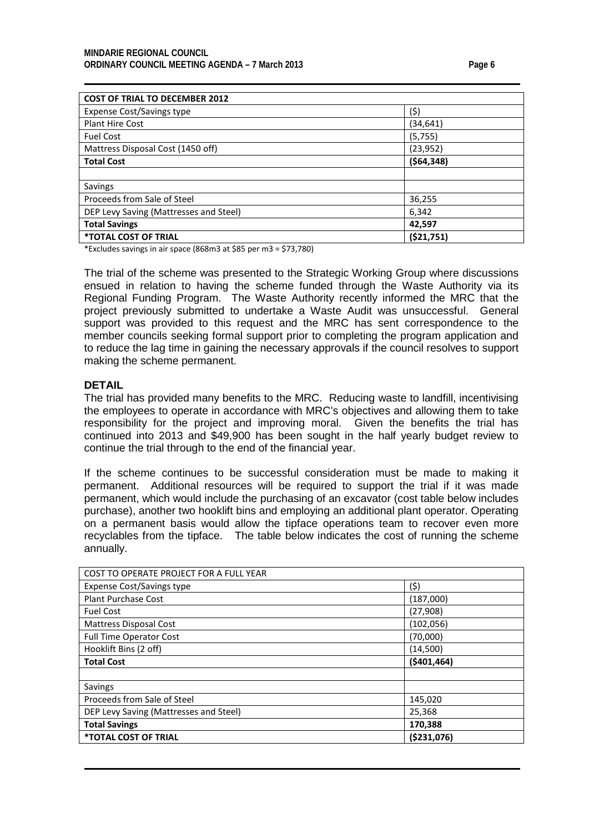| <b>COST OF TRIAL TO DECEMBER 2012</b>  |              |  |  |
|----------------------------------------|--------------|--|--|
| <b>Expense Cost/Savings type</b>       | (\$)         |  |  |
| <b>Plant Hire Cost</b>                 | (34,641)     |  |  |
| <b>Fuel Cost</b>                       | (5,755)      |  |  |
| Mattress Disposal Cost (1450 off)      | (23, 952)    |  |  |
| <b>Total Cost</b>                      | ( \$64, 348) |  |  |
|                                        |              |  |  |
| Savings                                |              |  |  |
| Proceeds from Sale of Steel            | 36,255       |  |  |
| DEP Levy Saving (Mattresses and Steel) | 6,342        |  |  |
| <b>Total Savings</b>                   | 42,597       |  |  |
| <i><b>*TOTAL COST OF TRIAL</b></i>     | (521,751)    |  |  |

\*Excludes savings in air space (868m3 at \$85 per m3 = \$73,780)

The trial of the scheme was presented to the Strategic Working Group where discussions ensued in relation to having the scheme funded through the Waste Authority via its Regional Funding Program. The Waste Authority recently informed the MRC that the project previously submitted to undertake a Waste Audit was unsuccessful. General support was provided to this request and the MRC has sent correspondence to the member councils seeking formal support prior to completing the program application and to reduce the lag time in gaining the necessary approvals if the council resolves to support making the scheme permanent.

#### **DETAIL**

The trial has provided many benefits to the MRC. Reducing waste to landfill, incentivising the employees to operate in accordance with MRC's objectives and allowing them to take responsibility for the project and improving moral. Given the benefits the trial has continued into 2013 and \$49,900 has been sought in the half yearly budget review to continue the trial through to the end of the financial year.

If the scheme continues to be successful consideration must be made to making it permanent. Additional resources will be required to support the trial if it was made permanent, which would include the purchasing of an excavator (cost table below includes purchase), another two hooklift bins and employing an additional plant operator. Operating on a permanent basis would allow the tipface operations team to recover even more recyclables from the tipface. The table below indicates the cost of running the scheme annually.

| <b>COST TO OPERATE PROJECT FOR A FULL YEAR</b> |               |  |  |
|------------------------------------------------|---------------|--|--|
| <b>Expense Cost/Savings type</b>               | (\$)          |  |  |
| <b>Plant Purchase Cost</b>                     | (187,000)     |  |  |
| <b>Fuel Cost</b>                               | (27, 908)     |  |  |
| <b>Mattress Disposal Cost</b>                  | (102, 056)    |  |  |
| <b>Full Time Operator Cost</b>                 | (70,000)      |  |  |
| Hooklift Bins (2 off)                          | (14,500)      |  |  |
| <b>Total Cost</b>                              | ( \$401, 464) |  |  |
|                                                |               |  |  |
| Savings                                        |               |  |  |
| Proceeds from Sale of Steel                    | 145,020       |  |  |
| DEP Levy Saving (Mattresses and Steel)         | 25,368        |  |  |
| <b>Total Savings</b>                           | 170,388       |  |  |
| <i><b>*TOTAL COST OF TRIAL</b></i>             | ( \$231,076)  |  |  |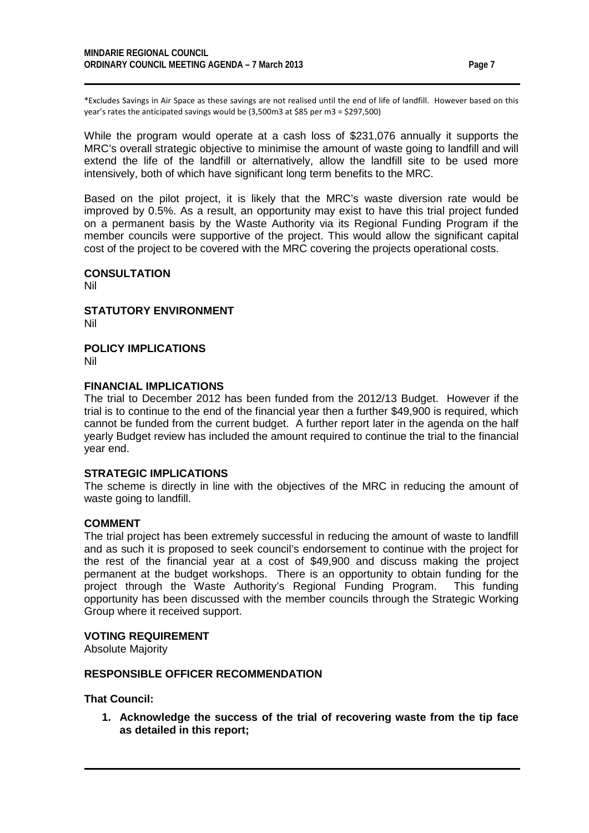\*Excludes Savings in Air Space as these savings are not realised until the end of life of landfill. However based on this year's rates the anticipated savings would be (3,500m3 at \$85 per m3 = \$297,500)

While the program would operate at a cash loss of \$231,076 annually it supports the MRC's overall strategic objective to minimise the amount of waste going to landfill and will extend the life of the landfill or alternatively, allow the landfill site to be used more intensively, both of which have significant long term benefits to the MRC.

Based on the pilot project, it is likely that the MRC's waste diversion rate would be improved by 0.5%. As a result, an opportunity may exist to have this trial project funded on a permanent basis by the Waste Authority via its Regional Funding Program if the member councils were supportive of the project. This would allow the significant capital cost of the project to be covered with the MRC covering the projects operational costs.

## **CONSULTATION**

Nil

**STATUTORY ENVIRONMENT** Nil

## **POLICY IMPLICATIONS**

Nil

#### **FINANCIAL IMPLICATIONS**

The trial to December 2012 has been funded from the 2012/13 Budget. However if the trial is to continue to the end of the financial year then a further \$49,900 is required, which cannot be funded from the current budget. A further report later in the agenda on the half yearly Budget review has included the amount required to continue the trial to the financial year end.

## **STRATEGIC IMPLICATIONS**

The scheme is directly in line with the objectives of the MRC in reducing the amount of waste going to landfill.

#### **COMMENT**

The trial project has been extremely successful in reducing the amount of waste to landfill and as such it is proposed to seek council's endorsement to continue with the project for the rest of the financial year at a cost of \$49,900 and discuss making the project permanent at the budget workshops. There is an opportunity to obtain funding for the project through the Waste Authority's Regional Funding Program. This funding opportunity has been discussed with the member councils through the Strategic Working Group where it received support.

#### **VOTING REQUIREMENT**

Absolute Majority

#### **RESPONSIBLE OFFICER RECOMMENDATION**

**That Council:**

**1. Acknowledge the success of the trial of recovering waste from the tip face as detailed in this report;**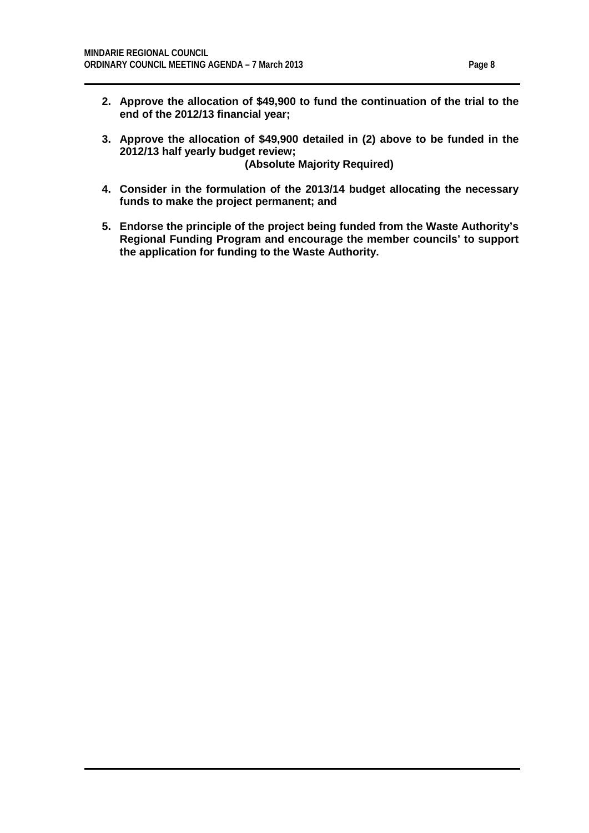- **2. Approve the allocation of \$49,900 to fund the continuation of the trial to the end of the 2012/13 financial year;**
- **3. Approve the allocation of \$49,900 detailed in (2) above to be funded in the 2012/13 half yearly budget review; (Absolute Majority Required)**
- **4. Consider in the formulation of the 2013/14 budget allocating the necessary funds to make the project permanent; and**
- **5. Endorse the principle of the project being funded from the Waste Authority's Regional Funding Program and encourage the member councils' to support the application for funding to the Waste Authority.**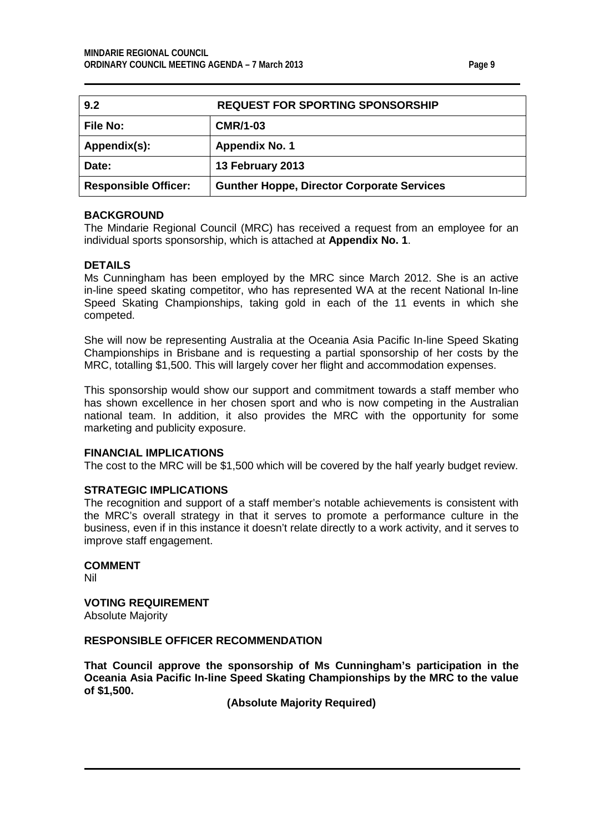|--|--|

<span id="page-8-0"></span>

| 9.2                         | <b>REQUEST FOR SPORTING SPONSORSHIP</b>           |
|-----------------------------|---------------------------------------------------|
| <b>File No:</b>             | <b>CMR/1-03</b>                                   |
| Appendix(s):                | <b>Appendix No. 1</b>                             |
| Date:                       | 13 February 2013                                  |
| <b>Responsible Officer:</b> | <b>Gunther Hoppe, Director Corporate Services</b> |

## **BACKGROUND**

The Mindarie Regional Council (MRC) has received a request from an employee for an individual sports sponsorship, which is attached at **Appendix No. 1**.

## **DETAILS**

Ms Cunningham has been employed by the MRC since March 2012. She is an active in-line speed skating competitor, who has represented WA at the recent National In-line Speed Skating Championships, taking gold in each of the 11 events in which she competed.

She will now be representing Australia at the Oceania Asia Pacific In-line Speed Skating Championships in Brisbane and is requesting a partial sponsorship of her costs by the MRC, totalling \$1,500. This will largely cover her flight and accommodation expenses.

This sponsorship would show our support and commitment towards a staff member who has shown excellence in her chosen sport and who is now competing in the Australian national team. In addition, it also provides the MRC with the opportunity for some marketing and publicity exposure.

#### **FINANCIAL IMPLICATIONS**

The cost to the MRC will be \$1,500 which will be covered by the half yearly budget review.

## **STRATEGIC IMPLICATIONS**

The recognition and support of a staff member's notable achievements is consistent with the MRC's overall strategy in that it serves to promote a performance culture in the business, even if in this instance it doesn't relate directly to a work activity, and it serves to improve staff engagement.

# **COMMENT**

Nil

**VOTING REQUIREMENT** Absolute Majority

#### **RESPONSIBLE OFFICER RECOMMENDATION**

**That Council approve the sponsorship of Ms Cunningham's participation in the Oceania Asia Pacific In-line Speed Skating Championships by the MRC to the value of \$1,500.**

**(Absolute Majority Required)**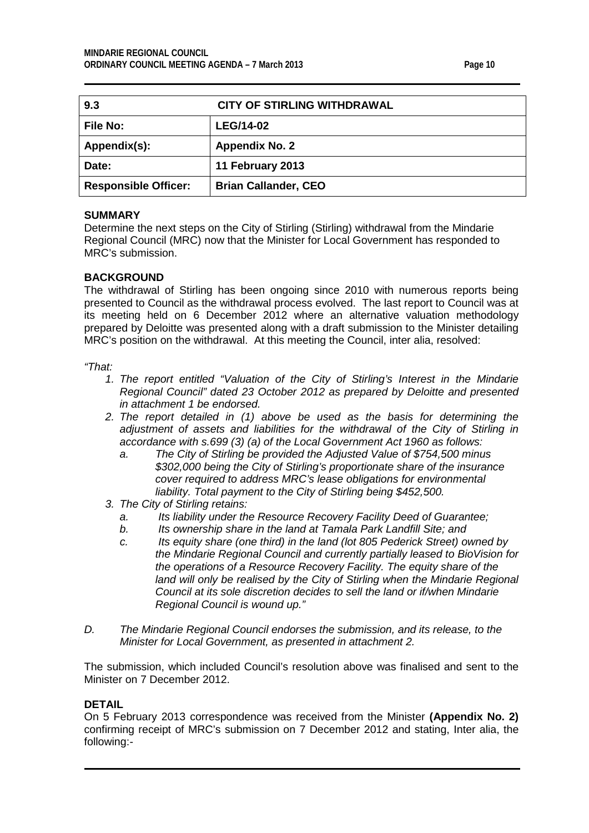<span id="page-9-0"></span>

| 9.3                         | <b>CITY OF STIRLING WITHDRAWAL</b> |
|-----------------------------|------------------------------------|
| <b>File No:</b>             | <b>LEG/14-02</b>                   |
| Appendix(s):                | <b>Appendix No. 2</b>              |
| Date:                       | 11 February 2013                   |
| <b>Responsible Officer:</b> | <b>Brian Callander, CEO</b>        |

Determine the next steps on the City of Stirling (Stirling) withdrawal from the Mindarie Regional Council (MRC) now that the Minister for Local Government has responded to MRC's submission.

## **BACKGROUND**

The withdrawal of Stirling has been ongoing since 2010 with numerous reports being presented to Council as the withdrawal process evolved. The last report to Council was at its meeting held on 6 December 2012 where an alternative valuation methodology prepared by Deloitte was presented along with a draft submission to the Minister detailing MRC's position on the withdrawal. At this meeting the Council, inter alia, resolved:

*"That:* 

- *1. The report entitled "Valuation of the City of Stirling's Interest in the Mindarie Regional Council" dated 23 October 2012 as prepared by Deloitte and presented in attachment 1 be endorsed.*
- *2. The report detailed in (1) above be used as the basis for determining the adjustment of assets and liabilities for the withdrawal of the City of Stirling in accordance with s.699 (3) (a) of the Local Government Act 1960 as follows:* 
	- *a. The City of Stirling be provided the Adjusted Value of \$754,500 minus \$302,000 being the City of Stirling's proportionate share of the insurance cover required to address MRC's lease obligations for environmental liability. Total payment to the City of Stirling being \$452,500.*
- *3. The City of Stirling retains:* 
	- *a. Its liability under the Resource Recovery Facility Deed of Guarantee;*
	- *b. Its ownership share in the land at Tamala Park Landfill Site; and*
	- *c. Its equity share (one third) in the land (lot 805 Pederick Street) owned by the Mindarie Regional Council and currently partially leased to BioVision for the operations of a Resource Recovery Facility. The equity share of the*  land will only be realised by the City of Stirling when the Mindarie Regional *Council at its sole discretion decides to sell the land or if/when Mindarie Regional Council is wound up."*
- *D. The Mindarie Regional Council endorses the submission, and its release, to the Minister for Local Government, as presented in attachment 2.*

The submission, which included Council's resolution above was finalised and sent to the Minister on 7 December 2012.

#### **DETAIL**

On 5 February 2013 correspondence was received from the Minister **(Appendix No. 2)**  confirming receipt of MRC's submission on 7 December 2012 and stating, Inter alia, the following:-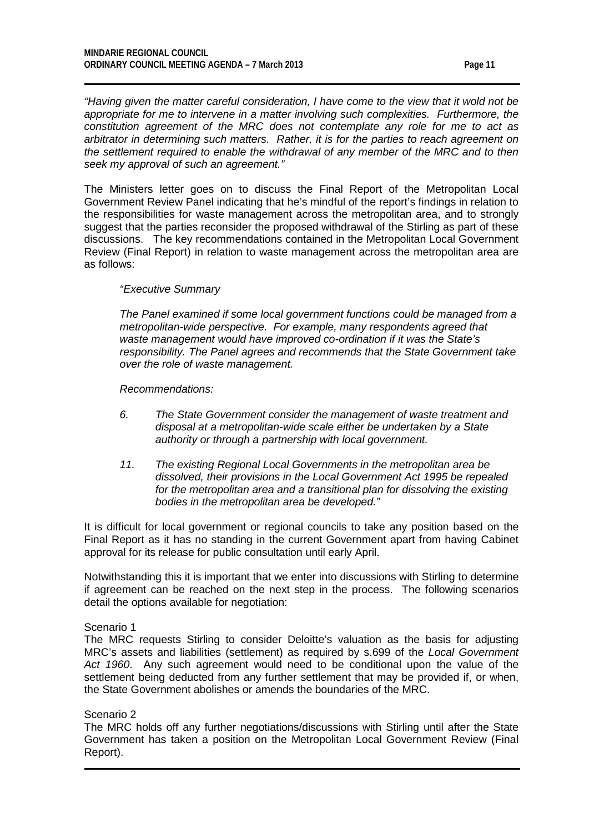*"Having given the matter careful consideration, I have come to the view that it wold not be appropriate for me to intervene in a matter involving such complexities. Furthermore, the constitution agreement of the MRC does not contemplate any role for me to act as arbitrator in determining such matters. Rather, it is for the parties to reach agreement on the settlement required to enable the withdrawal of any member of the MRC and to then seek my approval of such an agreement."*

The Ministers letter goes on to discuss the Final Report of the Metropolitan Local Government Review Panel indicating that he's mindful of the report's findings in relation to the responsibilities for waste management across the metropolitan area, and to strongly suggest that the parties reconsider the proposed withdrawal of the Stirling as part of these discussions. The key recommendations contained in the Metropolitan Local Government Review (Final Report) in relation to waste management across the metropolitan area are as follows:

## *"Executive Summary*

*The Panel examined if some local government functions could be managed from a metropolitan-wide perspective. For example, many respondents agreed that waste management would have improved co-ordination if it was the State's responsibility. The Panel agrees and recommends that the State Government take over the role of waste management.* 

*Recommendations:*

- *6. The State Government consider the management of waste treatment and disposal at a metropolitan-wide scale either be undertaken by a State authority or through a partnership with local government.*
- *11. The existing Regional Local Governments in the metropolitan area be dissolved, their provisions in the Local Government Act 1995 be repealed for the metropolitan area and a transitional plan for dissolving the existing bodies in the metropolitan area be developed."*

It is difficult for local government or regional councils to take any position based on the Final Report as it has no standing in the current Government apart from having Cabinet approval for its release for public consultation until early April.

Notwithstanding this it is important that we enter into discussions with Stirling to determine if agreement can be reached on the next step in the process. The following scenarios detail the options available for negotiation:

#### Scenario 1

The MRC requests Stirling to consider Deloitte's valuation as the basis for adjusting MRC's assets and liabilities (settlement) as required by s.699 of the *Local Government Act 1960*. Any such agreement would need to be conditional upon the value of the settlement being deducted from any further settlement that may be provided if, or when, the State Government abolishes or amends the boundaries of the MRC.

#### Scenario 2

The MRC holds off any further negotiations/discussions with Stirling until after the State Government has taken a position on the Metropolitan Local Government Review (Final Report).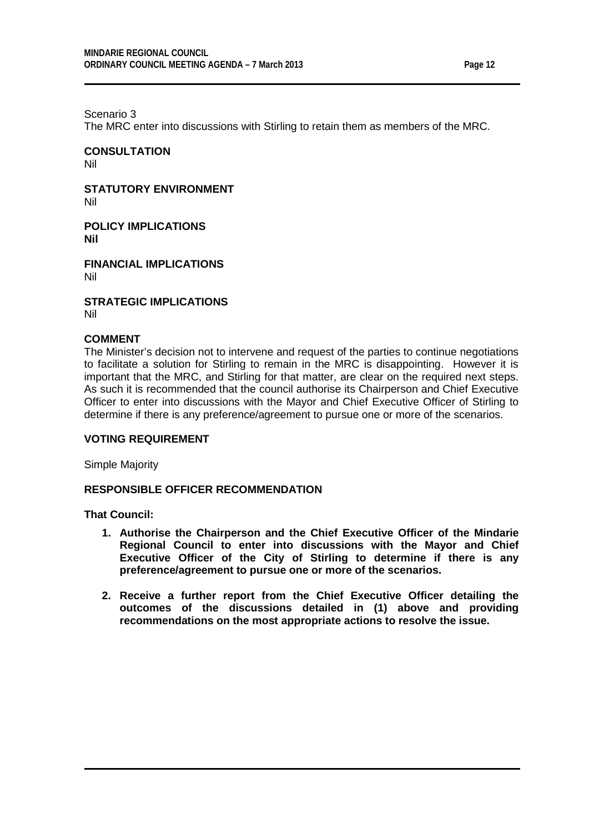Scenario 3

The MRC enter into discussions with Stirling to retain them as members of the MRC.

**CONSULTATION** Nil

**STATUTORY ENVIRONMENT** Nil

**POLICY IMPLICATIONS Nil**

**FINANCIAL IMPLICATIONS** Nil

**STRATEGIC IMPLICATIONS** Nil

## **COMMENT**

The Minister's decision not to intervene and request of the parties to continue negotiations to facilitate a solution for Stirling to remain in the MRC is disappointing. However it is important that the MRC, and Stirling for that matter, are clear on the required next steps. As such it is recommended that the council authorise its Chairperson and Chief Executive Officer to enter into discussions with the Mayor and Chief Executive Officer of Stirling to determine if there is any preference/agreement to pursue one or more of the scenarios.

#### **VOTING REQUIREMENT**

Simple Majority

## **RESPONSIBLE OFFICER RECOMMENDATION**

**That Council:**

- **1. Authorise the Chairperson and the Chief Executive Officer of the Mindarie Regional Council to enter into discussions with the Mayor and Chief Executive Officer of the City of Stirling to determine if there is any preference/agreement to pursue one or more of the scenarios.**
- **2. Receive a further report from the Chief Executive Officer detailing the outcomes of the discussions detailed in (1) above and providing recommendations on the most appropriate actions to resolve the issue.**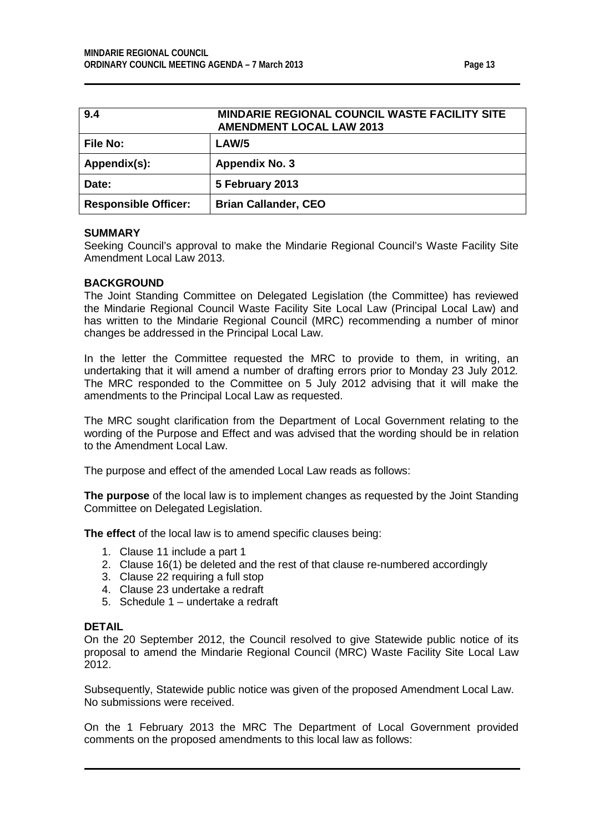| ıО<br>ı<br>u<br>п |  |  |
|-------------------|--|--|
|-------------------|--|--|

<span id="page-12-0"></span>

| 9.4                         | MINDARIE REGIONAL COUNCIL WASTE FACILITY SITE<br><b>AMENDMENT LOCAL LAW 2013</b> |
|-----------------------------|----------------------------------------------------------------------------------|
| <b>File No:</b>             | LAW/5                                                                            |
| Appendix(s):                | <b>Appendix No. 3</b>                                                            |
| Date:                       | 5 February 2013                                                                  |
| <b>Responsible Officer:</b> | <b>Brian Callander, CEO</b>                                                      |

Seeking Council's approval to make the Mindarie Regional Council's Waste Facility Site Amendment Local Law 2013.

## **BACKGROUND**

The Joint Standing Committee on Delegated Legislation (the Committee) has reviewed the Mindarie Regional Council Waste Facility Site Local Law (Principal Local Law) and has written to the Mindarie Regional Council (MRC) recommending a number of minor changes be addressed in the Principal Local Law.

In the letter the Committee requested the MRC to provide to them, in writing, an undertaking that it will amend a number of drafting errors prior to Monday 23 July 2012*.* The MRC responded to the Committee on 5 July 2012 advising that it will make the amendments to the Principal Local Law as requested.

The MRC sought clarification from the Department of Local Government relating to the wording of the Purpose and Effect and was advised that the wording should be in relation to the Amendment Local Law.

The purpose and effect of the amended Local Law reads as follows:

**The purpose** of the local law is to implement changes as requested by the Joint Standing Committee on Delegated Legislation.

**The effect** of the local law is to amend specific clauses being:

- 1. Clause 11 include a part 1
- 2. Clause 16(1) be deleted and the rest of that clause re-numbered accordingly
- 3. Clause 22 requiring a full stop
- 4. Clause 23 undertake a redraft
- 5. Schedule 1 undertake a redraft

#### **DETAIL**

On the 20 September 2012, the Council resolved to give Statewide public notice of its proposal to amend the Mindarie Regional Council (MRC) Waste Facility Site Local Law 2012.

Subsequently, Statewide public notice was given of the proposed Amendment Local Law. No submissions were received.

On the 1 February 2013 the MRC The Department of Local Government provided comments on the proposed amendments to this local law as follows: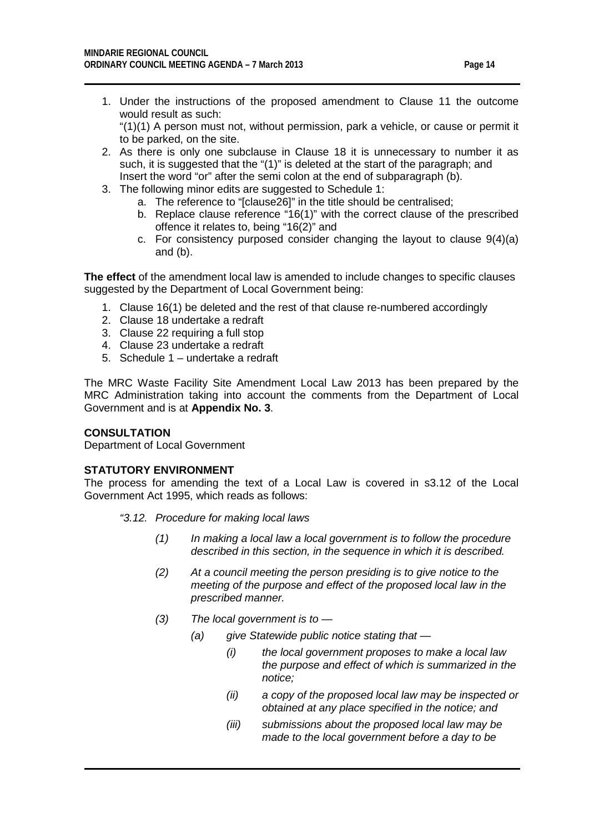1. Under the instructions of the proposed amendment to Clause 11 the outcome would result as such:

"(1)(1) A person must not, without permission, park a vehicle, or cause or permit it to be parked, on the site.

- 2. As there is only one subclause in Clause 18 it is unnecessary to number it as such, it is suggested that the "(1)" is deleted at the start of the paragraph; and Insert the word "or" after the semi colon at the end of subparagraph (b).
- 3. The following minor edits are suggested to Schedule 1:
	- a. The reference to "[clause26]" in the title should be centralised;
	- b. Replace clause reference "16(1)" with the correct clause of the prescribed offence it relates to, being "16(2)" and
	- c. For consistency purposed consider changing the layout to clause 9(4)(a) and (b).

**The effect** of the amendment local law is amended to include changes to specific clauses suggested by the Department of Local Government being:

- 1. Clause 16(1) be deleted and the rest of that clause re-numbered accordingly
- 2. Clause 18 undertake a redraft
- 3. Clause 22 requiring a full stop
- 4. Clause 23 undertake a redraft
- 5. Schedule 1 undertake a redraft

The MRC Waste Facility Site Amendment Local Law 2013 has been prepared by the MRC Administration taking into account the comments from the Department of Local Government and is at **Appendix No. 3**.

## **CONSULTATION**

Department of Local Government

## **STATUTORY ENVIRONMENT**

The process for amending the text of a Local Law is covered in s3.12 of the Local Government Act 1995, which reads as follows:

- *"3.12. Procedure for making local laws*
	- *(1) In making a local law a local government is to follow the procedure described in this section, in the sequence in which it is described.*
	- *(2) At a council meeting the person presiding is to give notice to the meeting of the purpose and effect of the proposed local law in the prescribed manner.*
	- *(3) The local government is to —*
		- *(a) give Statewide public notice stating that —*
			- *(i) the local government proposes to make a local law the purpose and effect of which is summarized in the notice;*
			- *(ii) a copy of the proposed local law may be inspected or obtained at any place specified in the notice; and*
			- *(iii) submissions about the proposed local law may be made to the local government before a day to be*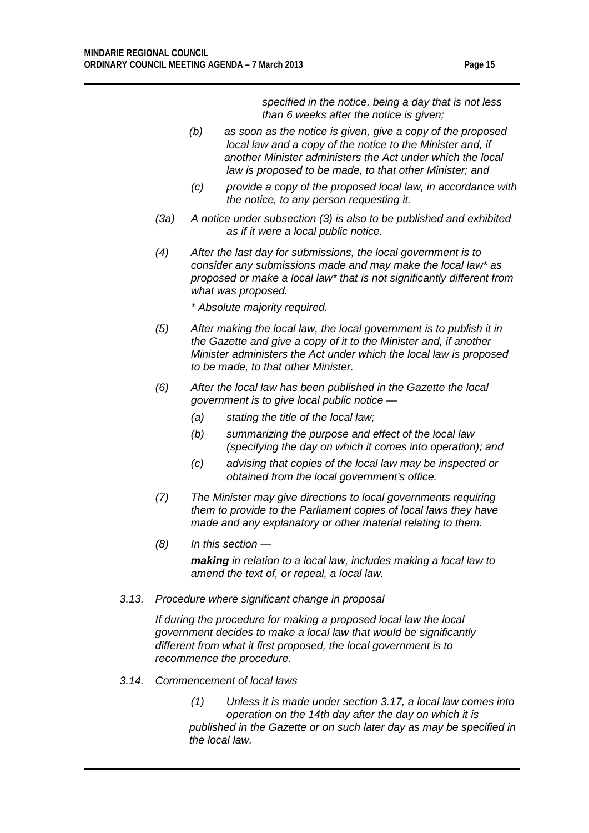*specified in the notice, being a day that is not less than 6 weeks after the notice is given;*

- *(b) as soon as the notice is given, give a copy of the proposed local law and a copy of the notice to the Minister and, if another Minister administers the Act under which the local law is proposed to be made, to that other Minister; and*
- *(c) provide a copy of the proposed local law, in accordance with the notice, to any person requesting it.*
- *(3a) A notice under subsection (3) is also to be published and exhibited as if it were a local public notice.*
- *(4) After the last day for submissions, the local government is to consider any submissions made and may make the local law\* as proposed or make a local law\* that is not significantly different from what was proposed.*
	- *\* Absolute majority required.*
- *(5) After making the local law, the local government is to publish it in the Gazette and give a copy of it to the Minister and, if another Minister administers the Act under which the local law is proposed to be made, to that other Minister.*
- *(6) After the local law has been published in the Gazette the local government is to give local public notice —*
	- *(a) stating the title of the local law;*
	- *(b) summarizing the purpose and effect of the local law (specifying the day on which it comes into operation); and*
	- *(c) advising that copies of the local law may be inspected or obtained from the local government's office.*
- *(7) The Minister may give directions to local governments requiring them to provide to the Parliament copies of local laws they have made and any explanatory or other material relating to them.*
- *(8) In this section —*

*making in relation to a local law, includes making a local law to amend the text of, or repeal, a local law.*

*3.13. Procedure where significant change in proposal*

*If during the procedure for making a proposed local law the local government decides to make a local law that would be significantly different from what it first proposed, the local government is to recommence the procedure.*

*3.14. Commencement of local laws*

*(1) Unless it is made under section 3.17, a local law comes into operation on the 14th day after the day on which it is published in the Gazette or on such later day as may be specified in the local law.*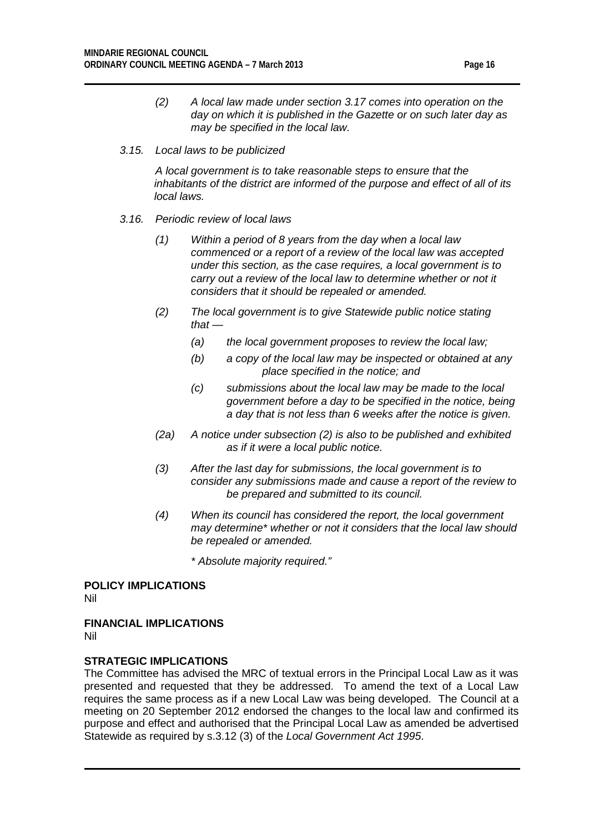*(2) A local law made under section 3.17 comes into operation on the day on which it is published in the Gazette or on such later day as may be specified in the local law.*

#### *3.15. Local laws to be publicized*

*A local government is to take reasonable steps to ensure that the inhabitants of the district are informed of the purpose and effect of all of its local laws.*

- *3.16. Periodic review of local laws*
	- *(1) Within a period of 8 years from the day when a local law commenced or a report of a review of the local law was accepted under this section, as the case requires, a local government is to carry out a review of the local law to determine whether or not it considers that it should be repealed or amended.*
	- *(2) The local government is to give Statewide public notice stating that —*
		- *(a) the local government proposes to review the local law;*
		- *(b) a copy of the local law may be inspected or obtained at any place specified in the notice; and*
		- *(c) submissions about the local law may be made to the local government before a day to be specified in the notice, being a day that is not less than 6 weeks after the notice is given.*
	- *(2a) A notice under subsection (2) is also to be published and exhibited as if it were a local public notice.*
	- *(3) After the last day for submissions, the local government is to consider any submissions made and cause a report of the review to be prepared and submitted to its council.*
	- *(4) When its council has considered the report, the local government may determine\* whether or not it considers that the local law should be repealed or amended.*
		- *\* Absolute majority required."*

**POLICY IMPLICATIONS** Nil

**FINANCIAL IMPLICATIONS**

Nil

## **STRATEGIC IMPLICATIONS**

The Committee has advised the MRC of textual errors in the Principal Local Law as it was presented and requested that they be addressed. To amend the text of a Local Law requires the same process as if a new Local Law was being developed. The Council at a meeting on 20 September 2012 endorsed the changes to the local law and confirmed its purpose and effect and authorised that the Principal Local Law as amended be advertised Statewide as required by s.3.12 (3) of the *Local Government Act 1995*.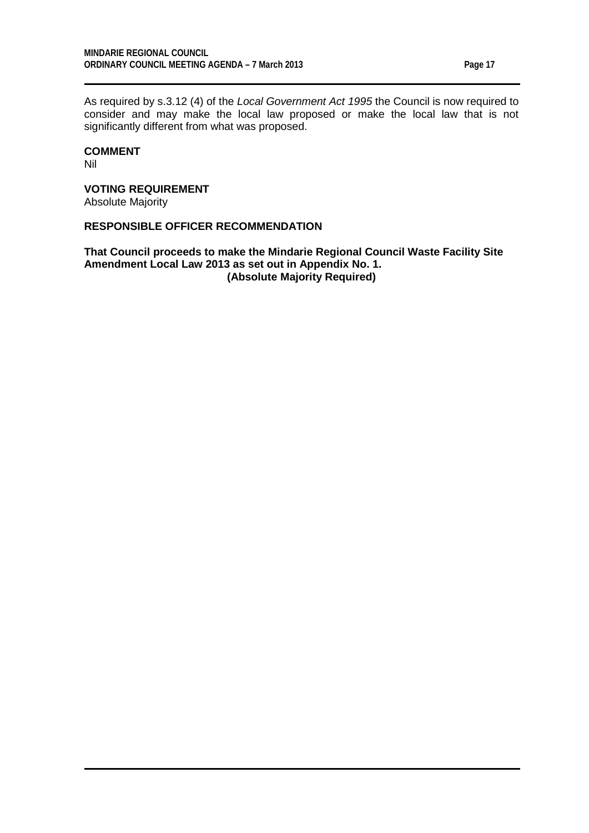As required by s.3.12 (4) of the *Local Government Act 1995* the Council is now required to consider and may make the local law proposed or make the local law that is not significantly different from what was proposed.

# **COMMENT**

Nil

# **VOTING REQUIREMENT**

Absolute Majority

## **RESPONSIBLE OFFICER RECOMMENDATION**

**That Council proceeds to make the Mindarie Regional Council Waste Facility Site Amendment Local Law 2013 as set out in Appendix No. 1. (Absolute Majority Required)**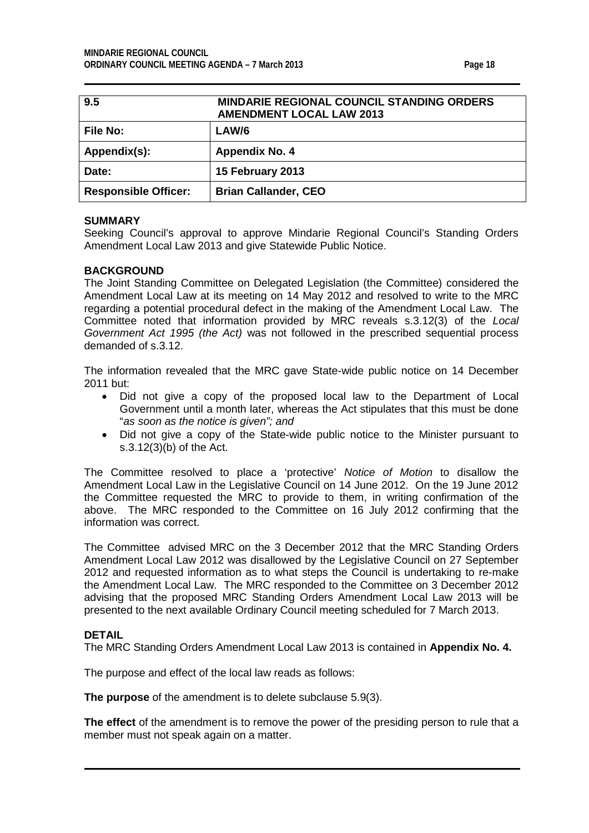<span id="page-17-0"></span>

| 9.5                         | <b>MINDARIE REGIONAL COUNCIL STANDING ORDERS</b><br><b>AMENDMENT LOCAL LAW 2013</b> |
|-----------------------------|-------------------------------------------------------------------------------------|
| <b>File No:</b>             | LAW/6                                                                               |
| Appendix(s):                | <b>Appendix No. 4</b>                                                               |
| Date:                       | 15 February 2013                                                                    |
| <b>Responsible Officer:</b> | <b>Brian Callander, CEO</b>                                                         |

Seeking Council's approval to approve Mindarie Regional Council's Standing Orders Amendment Local Law 2013 and give Statewide Public Notice.

#### **BACKGROUND**

The Joint Standing Committee on Delegated Legislation (the Committee) considered the Amendment Local Law at its meeting on 14 May 2012 and resolved to write to the MRC regarding a potential procedural defect in the making of the Amendment Local Law. The Committee noted that information provided by MRC reveals s.3.12(3) of the *Local Government Act 1995 (the Act)* was not followed in the prescribed sequential process demanded of s.3.12.

The information revealed that the MRC gave State-wide public notice on 14 December 2011 but:

- Did not give a copy of the proposed local law to the Department of Local Government until a month later, whereas the Act stipulates that this must be done "*as soon as the notice is given"; and*
- Did not give a copy of the State-wide public notice to the Minister pursuant to s.3.12(3)(b) of the Act.

The Committee resolved to place a 'protective' *Notice of Motion* to disallow the Amendment Local Law in the Legislative Council on 14 June 2012. On the 19 June 2012 the Committee requested the MRC to provide to them, in writing confirmation of the above. The MRC responded to the Committee on 16 July 2012 confirming that the information was correct.

The Committee advised MRC on the 3 December 2012 that the MRC Standing Orders Amendment Local Law 2012 was disallowed by the Legislative Council on 27 September 2012 and requested information as to what steps the Council is undertaking to re-make the Amendment Local Law. The MRC responded to the Committee on 3 December 2012 advising that the proposed MRC Standing Orders Amendment Local Law 2013 will be presented to the next available Ordinary Council meeting scheduled for 7 March 2013.

#### **DETAIL**

The MRC Standing Orders Amendment Local Law 2013 is contained in **Appendix No. 4.**

The purpose and effect of the local law reads as follows:

**The purpose** of the amendment is to delete subclause 5.9(3).

**The effect** of the amendment is to remove the power of the presiding person to rule that a member must not speak again on a matter.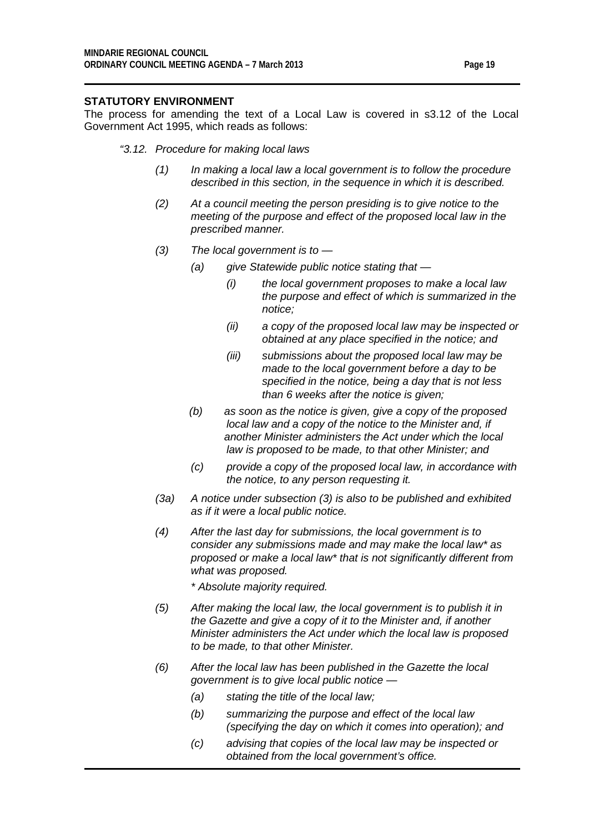## **STATUTORY ENVIRONMENT**

The process for amending the text of a Local Law is covered in s3.12 of the Local Government Act 1995, which reads as follows:

#### *"3.12. Procedure for making local laws*

- *(1) In making a local law a local government is to follow the procedure described in this section, in the sequence in which it is described.*
- *(2) At a council meeting the person presiding is to give notice to the meeting of the purpose and effect of the proposed local law in the prescribed manner.*
- *(3) The local government is to —*
	- *(a) give Statewide public notice stating that —*
		- *(i) the local government proposes to make a local law the purpose and effect of which is summarized in the notice;*
		- *(ii) a copy of the proposed local law may be inspected or obtained at any place specified in the notice; and*
		- *(iii) submissions about the proposed local law may be made to the local government before a day to be specified in the notice, being a day that is not less than 6 weeks after the notice is given;*
	- *(b) as soon as the notice is given, give a copy of the proposed local law and a copy of the notice to the Minister and, if another Minister administers the Act under which the local law is proposed to be made, to that other Minister; and*
	- *(c) provide a copy of the proposed local law, in accordance with the notice, to any person requesting it.*
- *(3a) A notice under subsection (3) is also to be published and exhibited as if it were a local public notice.*
- *(4) After the last day for submissions, the local government is to consider any submissions made and may make the local law\* as proposed or make a local law\* that is not significantly different from what was proposed.*
	- *\* Absolute majority required.*
- *(5) After making the local law, the local government is to publish it in the Gazette and give a copy of it to the Minister and, if another Minister administers the Act under which the local law is proposed to be made, to that other Minister.*
- *(6) After the local law has been published in the Gazette the local government is to give local public notice —*
	- *(a) stating the title of the local law;*
	- *(b) summarizing the purpose and effect of the local law (specifying the day on which it comes into operation); and*
	- *(c) advising that copies of the local law may be inspected or obtained from the local government's office.*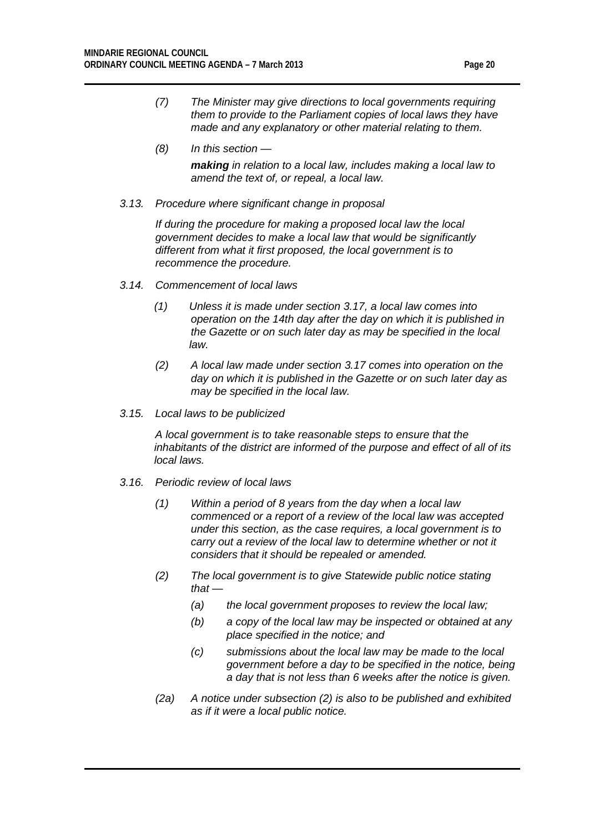- *(7) The Minister may give directions to local governments requiring them to provide to the Parliament copies of local laws they have made and any explanatory or other material relating to them.*
- *(8) In this section —*

*making in relation to a local law, includes making a local law to amend the text of, or repeal, a local law.*

*3.13. Procedure where significant change in proposal*

*If during the procedure for making a proposed local law the local government decides to make a local law that would be significantly different from what it first proposed, the local government is to recommence the procedure.*

- *3.14. Commencement of local laws*
	- *(1) Unless it is made under section 3.17, a local law comes into operation on the 14th day after the day on which it is published in the Gazette or on such later day as may be specified in the local law.*
	- *(2) A local law made under section 3.17 comes into operation on the day on which it is published in the Gazette or on such later day as may be specified in the local law.*
- *3.15. Local laws to be publicized*

*A local government is to take reasonable steps to ensure that the inhabitants of the district are informed of the purpose and effect of all of its local laws.*

- *3.16. Periodic review of local laws*
	- *(1) Within a period of 8 years from the day when a local law commenced or a report of a review of the local law was accepted under this section, as the case requires, a local government is to carry out a review of the local law to determine whether or not it considers that it should be repealed or amended.*
	- *(2) The local government is to give Statewide public notice stating that —*
		- *(a) the local government proposes to review the local law;*
		- *(b) a copy of the local law may be inspected or obtained at any place specified in the notice; and*
		- *(c) submissions about the local law may be made to the local government before a day to be specified in the notice, being a day that is not less than 6 weeks after the notice is given.*
	- *(2a) A notice under subsection (2) is also to be published and exhibited as if it were a local public notice.*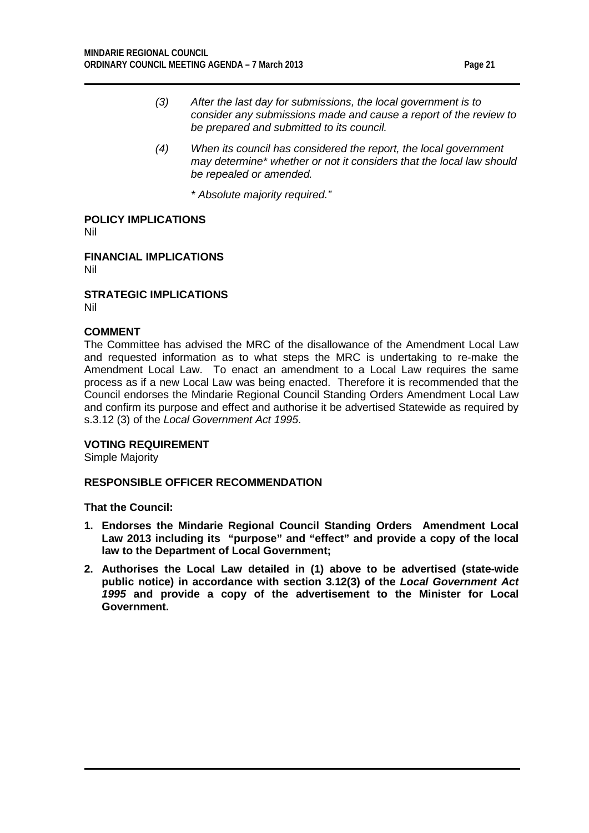- *(3) After the last day for submissions, the local government is to consider any submissions made and cause a report of the review to be prepared and submitted to its council.*
- *(4) When its council has considered the report, the local government may determine\* whether or not it considers that the local law should be repealed or amended.*
	- *\* Absolute majority required."*

**POLICY IMPLICATIONS** Nil

**FINANCIAL IMPLICATIONS** Nil

**STRATEGIC IMPLICATIONS** Nil

## **COMMENT**

The Committee has advised the MRC of the disallowance of the Amendment Local Law and requested information as to what steps the MRC is undertaking to re-make the Amendment Local Law. To enact an amendment to a Local Law requires the same process as if a new Local Law was being enacted. Therefore it is recommended that the Council endorses the Mindarie Regional Council Standing Orders Amendment Local Law and confirm its purpose and effect and authorise it be advertised Statewide as required by s.3.12 (3) of the *Local Government Act 1995*.

#### **VOTING REQUIREMENT**

Simple Majority

## **RESPONSIBLE OFFICER RECOMMENDATION**

**That the Council:**

- **1. Endorses the Mindarie Regional Council Standing Orders Amendment Local Law 2013 including its "purpose" and "effect" and provide a copy of the local law to the Department of Local Government;**
- **2. Authorises the Local Law detailed in (1) above to be advertised (state-wide public notice) in accordance with section 3.12(3) of the** *Local Government Act 1995* **and provide a copy of the advertisement to the Minister for Local Government.**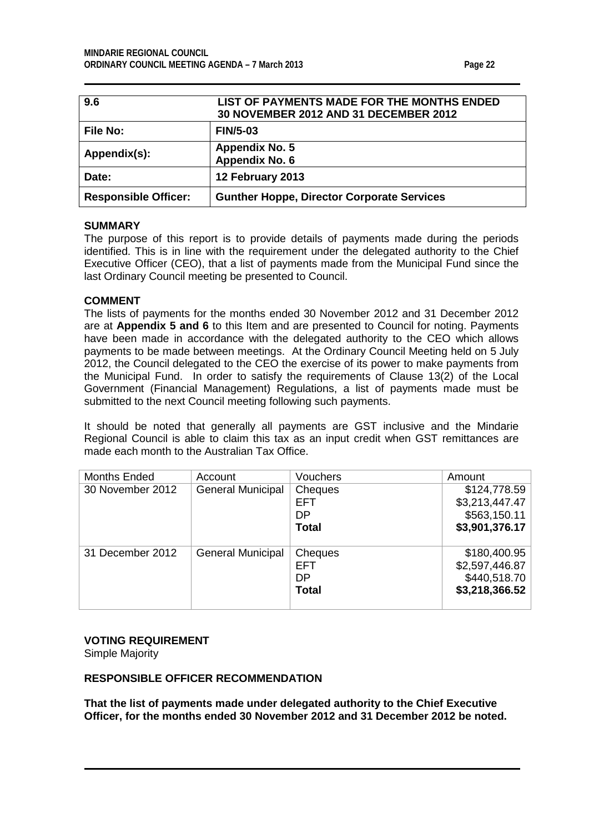<span id="page-21-1"></span><span id="page-21-0"></span>

| 9.6                         | LIST OF PAYMENTS MADE FOR THE MONTHS ENDED<br>30 NOVEMBER 2012 AND 31 DECEMBER 2012 |
|-----------------------------|-------------------------------------------------------------------------------------|
| <b>File No:</b>             | <b>FIN/5-03</b>                                                                     |
| Appendix(s):                | <b>Appendix No. 5</b><br>Appendix No. 6                                             |
| Date:                       | 12 February 2013                                                                    |
| <b>Responsible Officer:</b> | <b>Gunther Hoppe, Director Corporate Services</b>                                   |

The purpose of this report is to provide details of payments made during the periods identified. This is in line with the requirement under the delegated authority to the Chief Executive Officer (CEO), that a list of payments made from the Municipal Fund since the last Ordinary Council meeting be presented to Council.

## **COMMENT**

The lists of payments for the months ended 30 November 2012 and 31 December 2012 are at **Appendix 5 and 6** to this Item and are presented to Council for noting. Payments have been made in accordance with the delegated authority to the CEO which allows payments to be made between meetings. At the Ordinary Council Meeting held on 5 July 2012, the Council delegated to the CEO the exercise of its power to make payments from the Municipal Fund. In order to satisfy the requirements of Clause 13(2) of the Local Government (Financial Management) Regulations, a list of payments made must be submitted to the next Council meeting following such payments.

It should be noted that generally all payments are GST inclusive and the Mindarie Regional Council is able to claim this tax as an input credit when GST remittances are made each month to the Australian Tax Office.

| Months Ended     | Account                  | Vouchers     | Amount         |
|------------------|--------------------------|--------------|----------------|
| 30 November 2012 | <b>General Municipal</b> | Cheques      | \$124,778.59   |
|                  |                          | <b>EFT</b>   | \$3,213,447.47 |
|                  |                          | DP           | \$563,150.11   |
|                  |                          | <b>Total</b> | \$3,901,376.17 |
|                  |                          |              |                |
| 31 December 2012 | <b>General Municipal</b> | Cheques      | \$180,400.95   |
|                  |                          | <b>EFT</b>   | \$2,597,446.87 |
|                  |                          | DP           | \$440,518.70   |
|                  |                          | <b>Total</b> | \$3,218,366.52 |
|                  |                          |              |                |

#### **VOTING REQUIREMENT**

Simple Majority

## **RESPONSIBLE OFFICER RECOMMENDATION**

**That the list of payments made under delegated authority to the Chief Executive Officer, for the months ended 30 November 2012 and 31 December 2012 be noted.**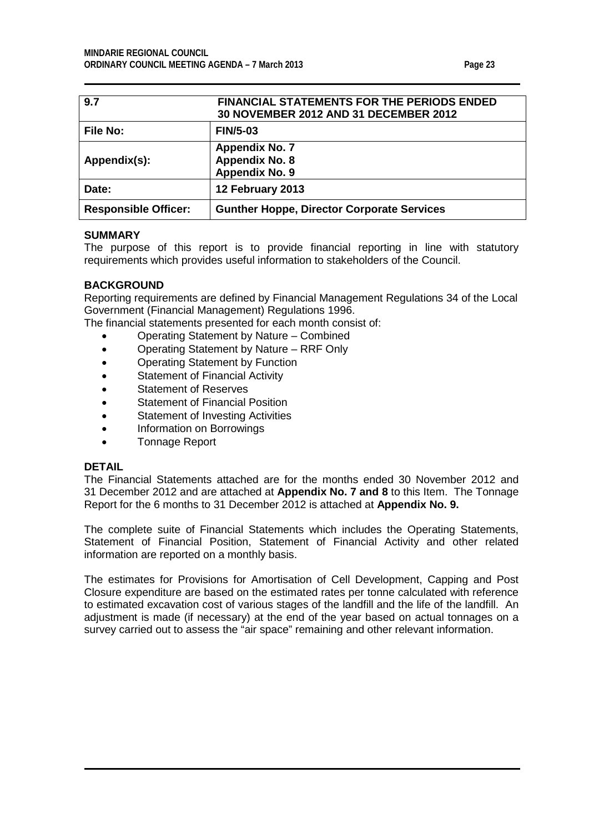<span id="page-22-1"></span><span id="page-22-0"></span>

| 9.7                         | <b>FINANCIAL STATEMENTS FOR THE PERIODS ENDED</b><br>30 NOVEMBER 2012 AND 31 DECEMBER 2012 |
|-----------------------------|--------------------------------------------------------------------------------------------|
| <b>File No:</b>             | <b>FIN/5-03</b>                                                                            |
| Appendix(s):                | <b>Appendix No. 7</b><br><b>Appendix No. 8</b><br>Appendix No. 9                           |
| Date:                       | 12 February 2013                                                                           |
| <b>Responsible Officer:</b> | <b>Gunther Hoppe, Director Corporate Services</b>                                          |

The purpose of this report is to provide financial reporting in line with statutory requirements which provides useful information to stakeholders of the Council.

## **BACKGROUND**

Reporting requirements are defined by Financial Management Regulations 34 of the Local Government (Financial Management) Regulations 1996.

The financial statements presented for each month consist of:

- Operating Statement by Nature Combined
- Operating Statement by Nature RRF Only
- Operating Statement by Function
- Statement of Financial Activity
- Statement of Reserves
- Statement of Financial Position
- Statement of Investing Activities
- Information on Borrowings
- Tonnage Report

#### **DETAIL**

The Financial Statements attached are for the months ended 30 November 2012 and 31 December 2012 and are attached at **Appendix No. 7 and 8** to this Item. The Tonnage Report for the 6 months to 31 December 2012 is attached at **Appendix No. 9.**

The complete suite of Financial Statements which includes the Operating Statements, Statement of Financial Position, Statement of Financial Activity and other related information are reported on a monthly basis.

The estimates for Provisions for Amortisation of Cell Development, Capping and Post Closure expenditure are based on the estimated rates per tonne calculated with reference to estimated excavation cost of various stages of the landfill and the life of the landfill. An adjustment is made (if necessary) at the end of the year based on actual tonnages on a survey carried out to assess the "air space" remaining and other relevant information.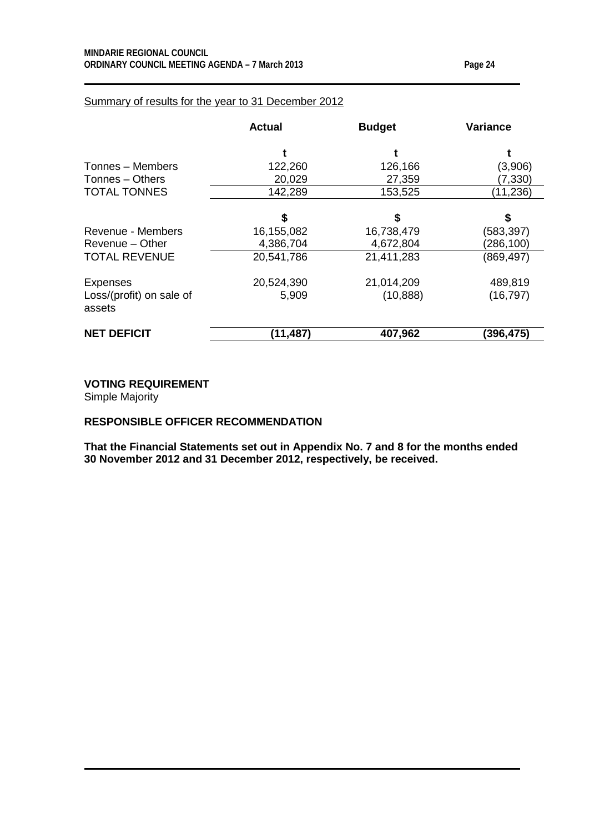|                                    | <b>Actual</b> | <b>Budget</b> | Variance   |
|------------------------------------|---------------|---------------|------------|
|                                    |               |               |            |
| Tonnes - Members                   | 122,260       | 126,166       | (3,906)    |
| Tonnes - Others                    | 20,029        | 27,359        | (7, 330)   |
| <b>TOTAL TONNES</b>                | 142,289       | 153,525       | (11, 236)  |
|                                    | \$            | S             | \$         |
| Revenue - Members                  | 16,155,082    | 16,738,479    | (583,397)  |
| Revenue – Other                    | 4,386,704     | 4,672,804     | (286,100)  |
| <b>TOTAL REVENUE</b>               | 20,541,786    | 21,411,283    | (869, 497) |
| <b>Expenses</b>                    | 20,524,390    | 21,014,209    | 489,819    |
| Loss/(profit) on sale of<br>assets | 5,909         | (10, 888)     | (16, 797)  |
| <b>NET DEFICIT</b>                 | (11, 487)     | 407,962       | (396, 475) |

## Summary of results for the year to 31 December 2012

**VOTING REQUIREMENT**

Simple Majority

## **RESPONSIBLE OFFICER RECOMMENDATION**

**That the Financial Statements set out in Appendix No. 7 and 8 for the months ended 30 November 2012 and 31 December 2012, respectively, be received.**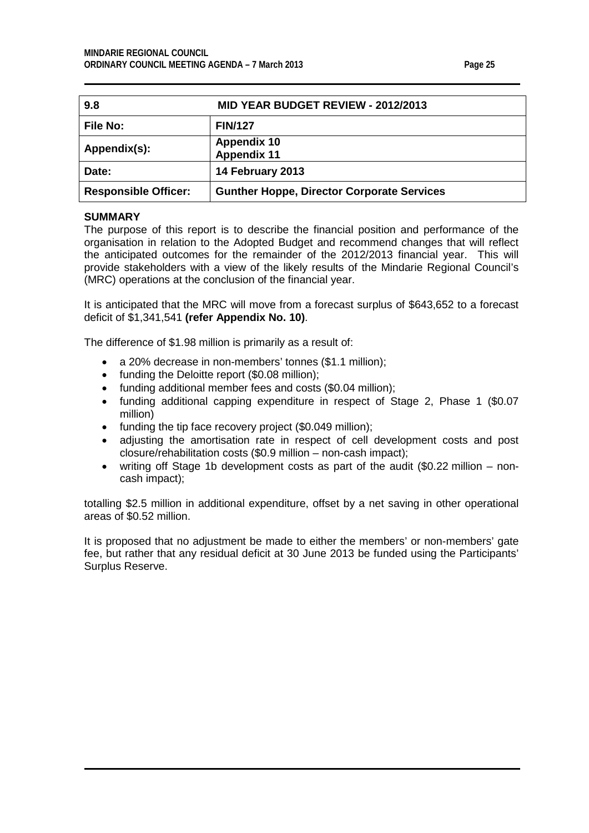<span id="page-24-0"></span>

| 9.8                         | <b>MID YEAR BUDGET REVIEW - 2012/2013</b>         |
|-----------------------------|---------------------------------------------------|
| <b>File No:</b>             | <b>FIN/127</b>                                    |
| Appendix(s):                | <b>Appendix 10</b><br><b>Appendix 11</b>          |
| Date:                       | 14 February 2013                                  |
| <b>Responsible Officer:</b> | <b>Gunther Hoppe, Director Corporate Services</b> |

The purpose of this report is to describe the financial position and performance of the organisation in relation to the Adopted Budget and recommend changes that will reflect the anticipated outcomes for the remainder of the 2012/2013 financial year. This will provide stakeholders with a view of the likely results of the Mindarie Regional Council's (MRC) operations at the conclusion of the financial year.

It is anticipated that the MRC will move from a forecast surplus of \$643,652 to a forecast deficit of \$1,341,541 **(refer Appendix No. 10)**.

The difference of \$1.98 million is primarily as a result of:

- a 20% decrease in non-members' tonnes (\$1.1 million);
- funding the Deloitte report (\$0.08 million);
- funding additional member fees and costs (\$0.04 million);
- funding additional capping expenditure in respect of Stage 2, Phase 1 (\$0.07 million)
- funding the tip face recovery project (\$0.049 million);
- adjusting the amortisation rate in respect of cell development costs and post closure/rehabilitation costs (\$0.9 million – non-cash impact);
- writing off Stage 1b development costs as part of the audit (\$0.22 million noncash impact);

totalling \$2.5 million in additional expenditure, offset by a net saving in other operational areas of \$0.52 million.

It is proposed that no adjustment be made to either the members' or non-members' gate fee, but rather that any residual deficit at 30 June 2013 be funded using the Participants' Surplus Reserve.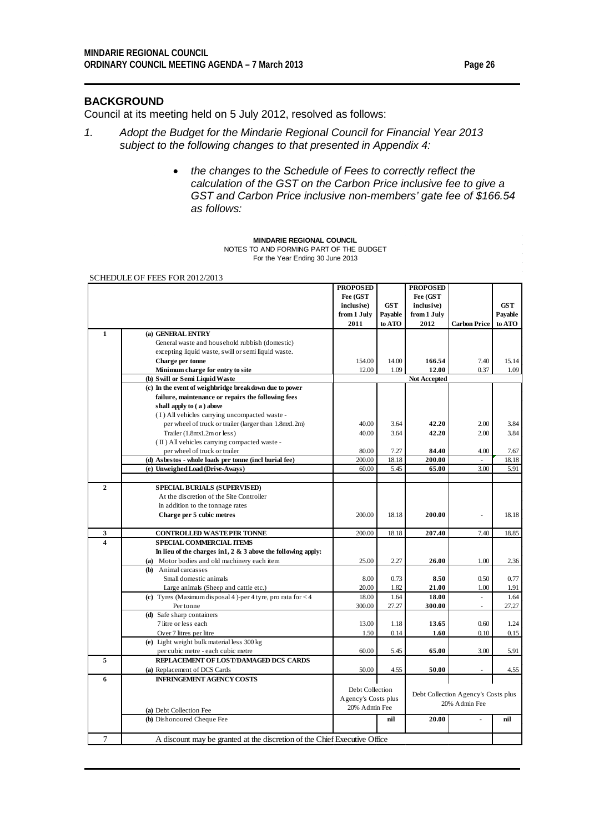## **BACKGROUND**

Council at its meeting held on 5 July 2012, resolved as follows:

- *1. Adopt the Budget for the Mindarie Regional Council for Financial Year 2013 subject to the following changes to that presented in Appendix 4:*
	- *the changes to the Schedule of Fees to correctly reflect the calculation of the GST on the Carbon Price inclusive fee to give a GST and Carbon Price inclusive non-members' gate fee of \$166.54 as follows:*

#### **MINDARIE REGIONAL COUNCIL**

NOTES TO AND FORMING PART OF THE BUDGET For the Year Ending 30 June 2013

#### SCHEDULE OF FEES FOR 2012/2013

|                         |                                                                           | <b>PROPOSED</b>     |            | <b>PROPOSED</b> |                                     |            |
|-------------------------|---------------------------------------------------------------------------|---------------------|------------|-----------------|-------------------------------------|------------|
|                         |                                                                           | Fee (GST            |            | Fee (GST        |                                     |            |
|                         |                                                                           | inclusive)          | <b>GST</b> | inclusive)      |                                     | <b>GST</b> |
|                         |                                                                           | from 1 July         | Payable    | from 1 July     |                                     | Payable    |
|                         |                                                                           | 2011                | to ATO     | 2012            | <b>Carbon Price</b>                 | to ATO     |
| $\mathbf{1}$            | (a) GENERAL ENTRY                                                         |                     |            |                 |                                     |            |
|                         | General waste and household rubbish (domestic)                            |                     |            |                 |                                     |            |
|                         | excepting liquid waste, swill or semi liquid waste.                       |                     |            |                 |                                     |            |
|                         | Charge per tonne                                                          | 154.00              | 14.00      | 166.54          | 7.40                                | 15.14      |
|                         | Minimum charge for entry to site                                          | 12.00               | 1.09       | 12.00           | 0.37                                | 1.09       |
|                         | (b) Swill or Semi Liquid Waste                                            |                     |            | Not Accepted    |                                     |            |
|                         | (c) In the event of weighbridge breakdown due to power                    |                     |            |                 |                                     |            |
|                         | failure, maintenance or repairs the following fees                        |                     |            |                 |                                     |            |
|                         | shall apply to (a) above                                                  |                     |            |                 |                                     |            |
|                         | (I) All vehicles carrying uncompacted waste-                              |                     |            |                 |                                     |            |
|                         | per wheel of truck or trailer (larger than 1.8mx1.2m)                     | 40.00               | 3.64       | 42.20           | 2.00                                | 3.84       |
|                         | Trailer (1.8mx1.2m or less)                                               | 40.00               | 3.64       | 42.20           | 2.00                                | 3.84       |
|                         | (II) All vehicles carrying compacted waste-                               |                     |            |                 |                                     |            |
|                         | per wheel of truck or trailer                                             | 80.00               | 7.27       | 84.40           | 4.00                                | 7.67       |
|                         | (d) Asbestos - whole loads per tonne (incl burial fee)                    | 200.00              | 18.18      | 200.00          |                                     | 18.18      |
|                         | (e) Unweighed Load (Drive-Aways)                                          | 60.00               | 5.45       | 65.00           | 3.00                                | 5.91       |
|                         |                                                                           |                     |            |                 |                                     |            |
| $\overline{2}$          | <b>SPECIAL BURIALS (SUPERVISED)</b>                                       |                     |            |                 |                                     |            |
|                         | At the discretion of the Site Controller                                  |                     |            |                 |                                     |            |
|                         | in addition to the tonnage rates                                          |                     |            |                 |                                     |            |
|                         | Charge per 5 cubic metres                                                 | 200.00              | 18.18      | 200.00          |                                     | 18.18      |
|                         |                                                                           |                     |            |                 |                                     |            |
| 3                       | <b>CONTROLLED WASTEPER TONNE</b>                                          | 200.00              | 18.18      | 207.40          | 7.40                                | 18.85      |
| $\overline{\mathbf{4}}$ | <b>SPECIAL COMMERCIAL ITEMS</b>                                           |                     |            |                 |                                     |            |
|                         | In lieu of the charges in $1, 2 \& 3$ above the following apply:          |                     |            |                 |                                     |            |
|                         | (a) Motor bodies and old machinery each item                              | 25.00               | 2.27       | 26.00           | 1.00                                | 2.36       |
|                         | (b) Animal carcasses                                                      |                     |            |                 |                                     |            |
|                         | Small domestic animals                                                    | 8.00                | 0.73       | 8.50            | 0.50                                | 0.77       |
|                         | Large animals (Sheep and cattle etc.)                                     | 20.00               | 1.82       | 21.00           | 1.00                                | 1.91       |
|                         | (c) Tyres (Maximum disposal 4)-per 4 tyre, pro rata for $<$ 4             | 18.00               | 1.64       | 18.00           |                                     | 1.64       |
|                         | Per tonne                                                                 | 300.00              | 27.27      | 300.00          | ä,                                  | 27.27      |
|                         | (d) Safe sharp containers                                                 |                     |            |                 |                                     |            |
|                         | 7 litre or less each                                                      | 13.00               | 1.18       | 13.65           | 0.60                                | 1.24       |
|                         | Over 7 litres per litre                                                   | 1.50                | 0.14       | 1.60            | 0.10                                | 0.15       |
|                         | (e) Light weight bulk material less 300 kg                                |                     |            |                 |                                     |            |
|                         | per cubic metre - each cubic metre                                        | 60.00               | 5.45       | 65.00           | 3.00                                | 5.91       |
| 5                       | REPLACEMENT OF LOST/DAMAGED DCS CARDS                                     |                     |            |                 |                                     |            |
|                         | (a) Replacement of DCS Cards                                              | 50.00               | 4.55       | 50.00           |                                     | 4.55       |
| 6                       | <b>INFRINGEMENT AGENCY COSTS</b>                                          |                     |            |                 |                                     |            |
|                         |                                                                           | Debt Collection     |            |                 |                                     |            |
|                         |                                                                           | Agency's Costs plus |            |                 | Debt Collection Agency's Costs plus |            |
|                         |                                                                           | 20% Admin Fee       |            |                 | 20% Admin Fee                       |            |
|                         | (a) Debt Collection Fee                                                   |                     |            |                 |                                     |            |
|                         | (b) Dishonoured Cheque Fee                                                |                     | nil        | 20.00           |                                     | nil        |
| 7                       | A discount may be granted at the discretion of the Chief Executive Office |                     |            |                 |                                     |            |
|                         |                                                                           |                     |            |                 |                                     |            |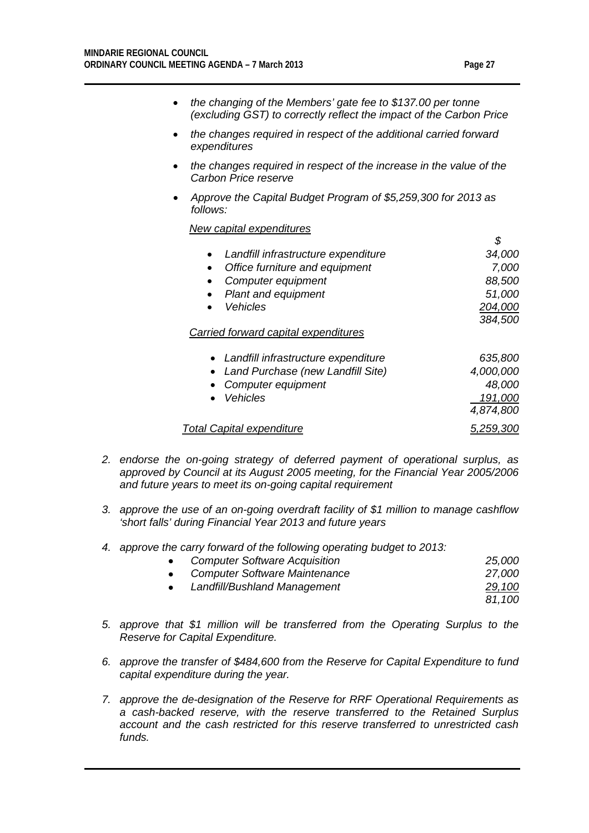*\$*

- *the changing of the Members' gate fee to \$137.00 per tonne (excluding GST) to correctly reflect the impact of the Carbon Price*
- *the changes required in respect of the additional carried forward expenditures*
- *the changes required in respect of the increase in the value of the Carbon Price reserve*
- *Approve the Capital Budget Program of \$5,259,300 for 2013 as follows:*

*New capital expenditures*

| Landfill infrastructure expenditure | 34,000  |
|-------------------------------------|---------|
| Office furniture and equipment      | 7,000   |
| Computer equipment                  | 88,500  |
| • Plant and equipment               | 51,000  |
| <b>Vehicles</b>                     | 204,000 |
|                                     | 384,500 |
|                                     |         |

#### *Carried forward capital expenditures*

| • Landfill infrastructure expenditure | 635,800   |
|---------------------------------------|-----------|
| • Land Purchase (new Landfill Site)   | 4,000,000 |
| • Computer equipment                  | 48,000    |
| • Vehicles                            | 191,000   |
|                                       | 4,874,800 |
| <b>Total Capital expenditure</b>      | 5,259,300 |

- *2. endorse the on-going strategy of deferred payment of operational surplus, as approved by Council at its August 2005 meeting, for the Financial Year 2005/2006 and future years to meet its on-going capital requirement*
- *3. approve the use of an on-going overdraft facility of \$1 million to manage cashflow 'short falls' during Financial Year 2013 and future years*
- *4. approve the carry forward of the following operating budget to 2013:*

| $\bullet$ | <b>Computer Software Acquisition</b> | 25,000 |
|-----------|--------------------------------------|--------|
| $\bullet$ | <b>Computer Software Maintenance</b> | 27,000 |
| $\bullet$ | Landfill/Bushland Management         | 29,100 |
|           |                                      | 81.100 |

- *5. approve that \$1 million will be transferred from the Operating Surplus to the Reserve for Capital Expenditure.*
- *6. approve the transfer of \$484,600 from the Reserve for Capital Expenditure to fund capital expenditure during the year.*
- *7. approve the de-designation of the Reserve for RRF Operational Requirements as a cash-backed reserve, with the reserve transferred to the Retained Surplus account and the cash restricted for this reserve transferred to unrestricted cash funds.*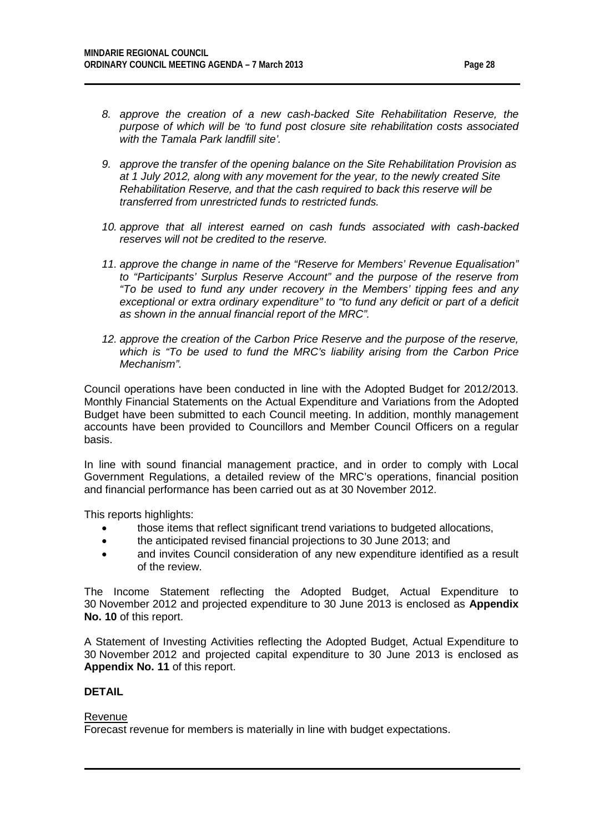- *9. approve the transfer of the opening balance on the Site Rehabilitation Provision as at 1 July 2012, along with any movement for the year, to the newly created Site Rehabilitation Reserve, and that the cash required to back this reserve will be transferred from unrestricted funds to restricted funds.*
- *10. approve that all interest earned on cash funds associated with cash-backed reserves will not be credited to the reserve.*
- *11. approve the change in name of the "Reserve for Members' Revenue Equalisation" to "Participants' Surplus Reserve Account" and the purpose of the reserve from "To be used to fund any under recovery in the Members' tipping fees and any exceptional or extra ordinary expenditure" to "to fund any deficit or part of a deficit as shown in the annual financial report of the MRC".*
- *12. approve the creation of the Carbon Price Reserve and the purpose of the reserve, which is "To be used to fund the MRC's liability arising from the Carbon Price Mechanism".*

Council operations have been conducted in line with the Adopted Budget for 2012/2013. Monthly Financial Statements on the Actual Expenditure and Variations from the Adopted Budget have been submitted to each Council meeting. In addition, monthly management accounts have been provided to Councillors and Member Council Officers on a regular basis.

In line with sound financial management practice, and in order to comply with Local Government Regulations, a detailed review of the MRC's operations, financial position and financial performance has been carried out as at 30 November 2012.

This reports highlights:

- those items that reflect significant trend variations to budgeted allocations,
- the anticipated revised financial projections to 30 June 2013; and
- and invites Council consideration of any new expenditure identified as a result of the review.

The Income Statement reflecting the Adopted Budget, Actual Expenditure to 30 November 2012 and projected expenditure to 30 June 2013 is enclosed as **Appendix No. 10** of this report.

A Statement of Investing Activities reflecting the Adopted Budget, Actual Expenditure to 30 November 2012 and projected capital expenditure to 30 June 2013 is enclosed as **Appendix No. 11** of this report.

## **DETAIL**

#### Revenue

Forecast revenue for members is materially in line with budget expectations.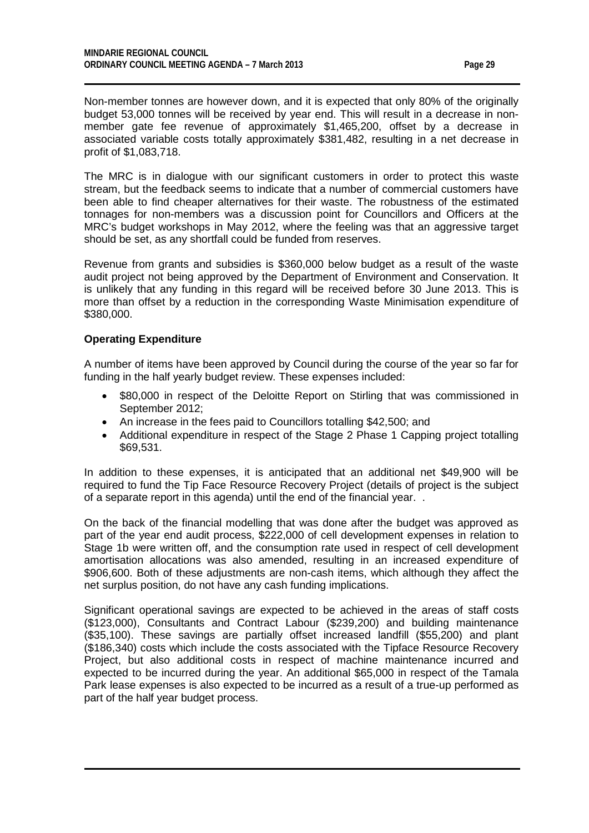Non-member tonnes are however down, and it is expected that only 80% of the originally budget 53,000 tonnes will be received by year end. This will result in a decrease in nonmember gate fee revenue of approximately \$1,465,200, offset by a decrease in associated variable costs totally approximately \$381,482, resulting in a net decrease in profit of \$1,083,718.

The MRC is in dialogue with our significant customers in order to protect this waste stream, but the feedback seems to indicate that a number of commercial customers have been able to find cheaper alternatives for their waste. The robustness of the estimated tonnages for non-members was a discussion point for Councillors and Officers at the MRC's budget workshops in May 2012, where the feeling was that an aggressive target should be set, as any shortfall could be funded from reserves.

Revenue from grants and subsidies is \$360,000 below budget as a result of the waste audit project not being approved by the Department of Environment and Conservation. It is unlikely that any funding in this regard will be received before 30 June 2013. This is more than offset by a reduction in the corresponding Waste Minimisation expenditure of \$380,000.

## **Operating Expenditure**

A number of items have been approved by Council during the course of the year so far for funding in the half yearly budget review. These expenses included:

- \$80,000 in respect of the Deloitte Report on Stirling that was commissioned in September 2012;
- An increase in the fees paid to Councillors totalling \$42,500; and
- Additional expenditure in respect of the Stage 2 Phase 1 Capping project totalling \$69,531.

In addition to these expenses, it is anticipated that an additional net \$49,900 will be required to fund the Tip Face Resource Recovery Project (details of project is the subject of a separate report in this agenda) until the end of the financial year. .

On the back of the financial modelling that was done after the budget was approved as part of the year end audit process, \$222,000 of cell development expenses in relation to Stage 1b were written off, and the consumption rate used in respect of cell development amortisation allocations was also amended, resulting in an increased expenditure of \$906,600. Both of these adjustments are non-cash items, which although they affect the net surplus position, do not have any cash funding implications.

Significant operational savings are expected to be achieved in the areas of staff costs (\$123,000), Consultants and Contract Labour (\$239,200) and building maintenance (\$35,100). These savings are partially offset increased landfill (\$55,200) and plant (\$186,340) costs which include the costs associated with the Tipface Resource Recovery Project, but also additional costs in respect of machine maintenance incurred and expected to be incurred during the year. An additional \$65,000 in respect of the Tamala Park lease expenses is also expected to be incurred as a result of a true-up performed as part of the half year budget process.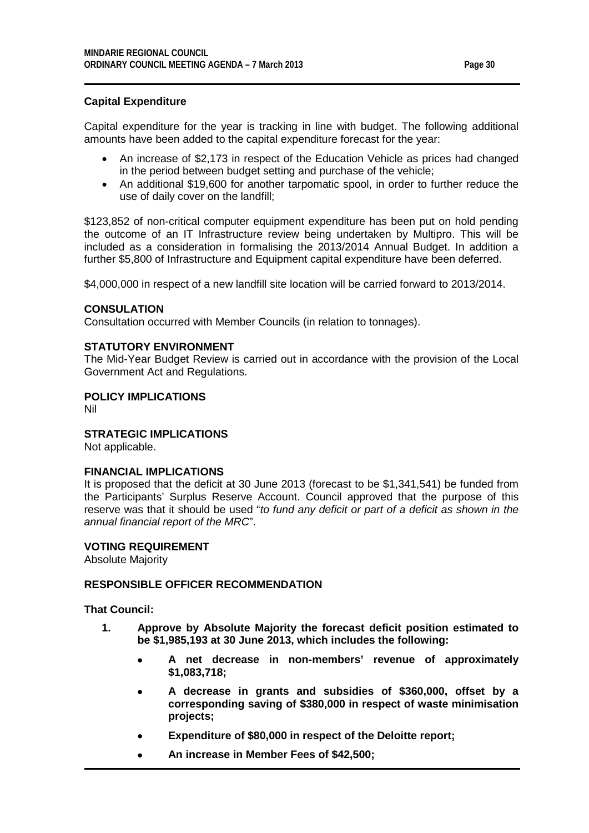## **Capital Expenditure**

Capital expenditure for the year is tracking in line with budget. The following additional amounts have been added to the capital expenditure forecast for the year:

- An increase of \$2,173 in respect of the Education Vehicle as prices had changed in the period between budget setting and purchase of the vehicle;
- An additional \$19,600 for another tarpomatic spool, in order to further reduce the use of daily cover on the landfill;

\$123,852 of non-critical computer equipment expenditure has been put on hold pending the outcome of an IT Infrastructure review being undertaken by Multipro. This will be included as a consideration in formalising the 2013/2014 Annual Budget. In addition a further \$5,800 of Infrastructure and Equipment capital expenditure have been deferred.

\$4,000,000 in respect of a new landfill site location will be carried forward to 2013/2014.

## **CONSULATION**

Consultation occurred with Member Councils (in relation to tonnages).

## **STATUTORY ENVIRONMENT**

The Mid-Year Budget Review is carried out in accordance with the provision of the Local Government Act and Regulations.

## **POLICY IMPLICATIONS**

Nil

#### **STRATEGIC IMPLICATIONS**

Not applicable.

#### **FINANCIAL IMPLICATIONS**

It is proposed that the deficit at 30 June 2013 (forecast to be \$1,341,541) be funded from the Participants' Surplus Reserve Account. Council approved that the purpose of this reserve was that it should be used "*to fund any deficit or part of a deficit as shown in the annual financial report of the MRC*".

#### **VOTING REQUIREMENT**

Absolute Majority

#### **RESPONSIBLE OFFICER RECOMMENDATION**

#### **That Council:**

- **1. Approve by Absolute Majority the forecast deficit position estimated to be \$1,985,193 at 30 June 2013, which includes the following:**
	- **A net decrease in non-members' revenue of approximately \$1,083,718;**
	- **A decrease in grants and subsidies of \$360,000, offset by a corresponding saving of \$380,000 in respect of waste minimisation projects;**
	- **Expenditure of \$80,000 in respect of the Deloitte report;**
	- **An increase in Member Fees of \$42,500;**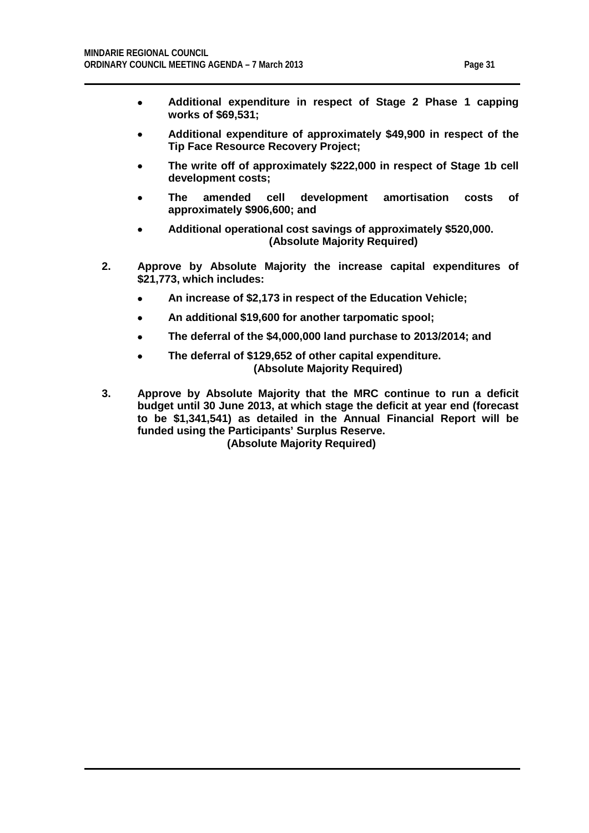- **Additional expenditure in respect of Stage 2 Phase 1 capping works of \$69,531;**
- **Additional expenditure of approximately \$49,900 in respect of the Tip Face Resource Recovery Project;**
- **The write off of approximately \$222,000 in respect of Stage 1b cell development costs;**
- **The amended cell development amortisation costs of approximately \$906,600; and**
- **Additional operational cost savings of approximately \$520,000. (Absolute Majority Required)**
- **2. Approve by Absolute Majority the increase capital expenditures of \$21,773, which includes:**
	- **An increase of \$2,173 in respect of the Education Vehicle;**
	- **An additional \$19,600 for another tarpomatic spool;**
	- **The deferral of the \$4,000,000 land purchase to 2013/2014; and**
	- **The deferral of \$129,652 of other capital expenditure. (Absolute Majority Required)**
- **3. Approve by Absolute Majority that the MRC continue to run a deficit budget until 30 June 2013, at which stage the deficit at year end (forecast to be \$1,341,541) as detailed in the Annual Financial Report will be funded using the Participants' Surplus Reserve. (Absolute Majority Required)**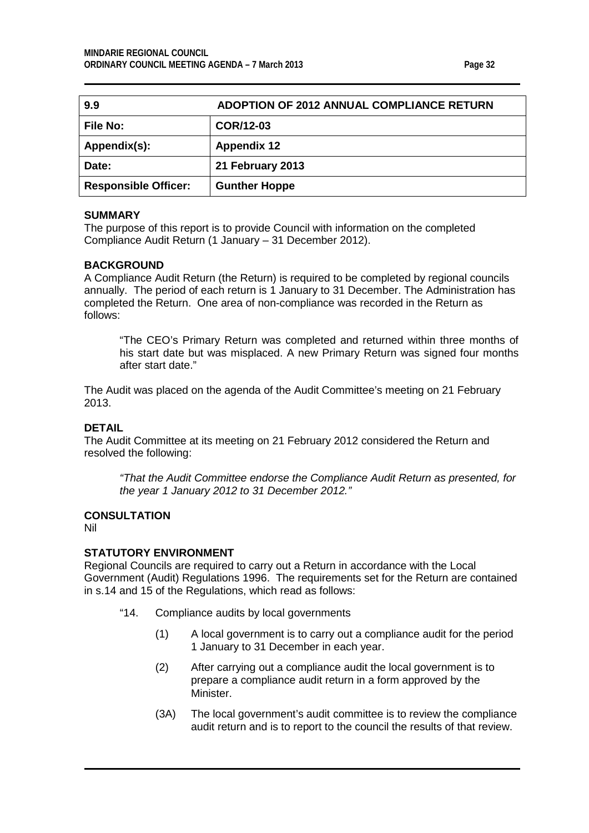<span id="page-31-0"></span>

| 9.9                         | ADOPTION OF 2012 ANNUAL COMPLIANCE RETURN |
|-----------------------------|-------------------------------------------|
| <b>File No:</b>             | COR/12-03                                 |
| Appendix(s):                | <b>Appendix 12</b>                        |
| Date:                       | 21 February 2013                          |
| <b>Responsible Officer:</b> | <b>Gunther Hoppe</b>                      |

The purpose of this report is to provide Council with information on the completed Compliance Audit Return (1 January – 31 December 2012).

#### **BACKGROUND**

A Compliance Audit Return (the Return) is required to be completed by regional councils annually. The period of each return is 1 January to 31 December. The Administration has completed the Return. One area of non-compliance was recorded in the Return as follows:

"The CEO's Primary Return was completed and returned within three months of his start date but was misplaced. A new Primary Return was signed four months after start date."

The Audit was placed on the agenda of the Audit Committee's meeting on 21 February 2013.

## **DETAIL**

The Audit Committee at its meeting on 21 February 2012 considered the Return and resolved the following:

*"That the Audit Committee endorse the Compliance Audit Return as presented, for the year 1 January 2012 to 31 December 2012."*

## **CONSULTATION**

Nil

#### **STATUTORY ENVIRONMENT**

Regional Councils are required to carry out a Return in accordance with the Local Government (Audit) Regulations 1996. The requirements set for the Return are contained in s.14 and 15 of the Regulations, which read as follows:

- "14. Compliance audits by local governments
	- (1) A local government is to carry out a compliance audit for the period 1 January to 31 December in each year.
	- (2) After carrying out a compliance audit the local government is to prepare a compliance audit return in a form approved by the Minister.
	- (3A) The local government's audit committee is to review the compliance audit return and is to report to the council the results of that review.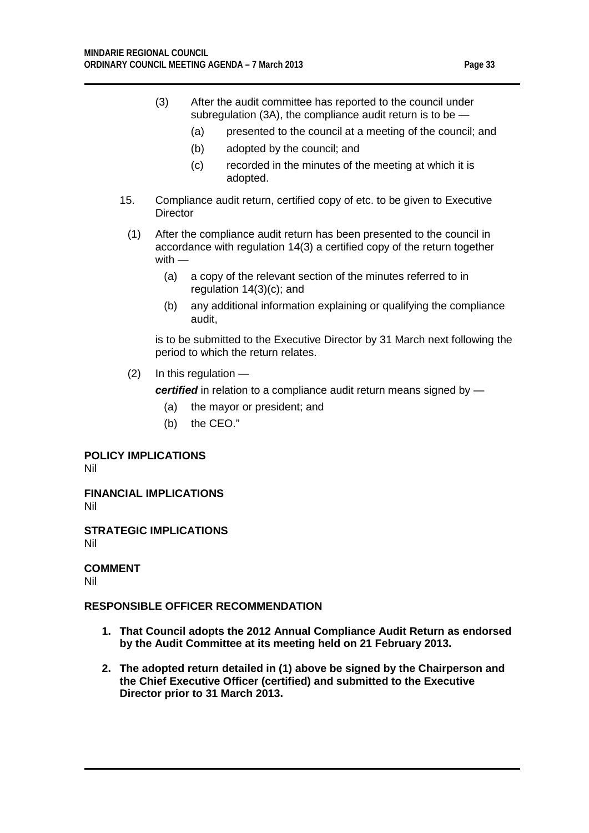- (3) After the audit committee has reported to the council under subregulation (3A), the compliance audit return is to be —
	- (a) presented to the council at a meeting of the council; and
	- (b) adopted by the council; and
	- (c) recorded in the minutes of the meeting at which it is adopted.
- 15. Compliance audit return, certified copy of etc. to be given to Executive **Director** 
	- (1) After the compliance audit return has been presented to the council in accordance with regulation 14(3) a certified copy of the return together with —
		- (a) a copy of the relevant section of the minutes referred to in regulation 14(3)(c); and
		- (b) any additional information explaining or qualifying the compliance audit,

is to be submitted to the Executive Director by 31 March next following the period to which the return relates.

(2) In this regulation —

*certified* in relation to a compliance audit return means signed by —

- (a) the mayor or president; and
- (b) the CEO."

**POLICY IMPLICATIONS**

Nil

**FINANCIAL IMPLICATIONS** Nil

**STRATEGIC IMPLICATIONS** Nil

**COMMENT** Nil

#### **RESPONSIBLE OFFICER RECOMMENDATION**

- **1. That Council adopts the 2012 Annual Compliance Audit Return as endorsed by the Audit Committee at its meeting held on 21 February 2013.**
- **2. The adopted return detailed in (1) above be signed by the Chairperson and the Chief Executive Officer (certified) and submitted to the Executive Director prior to 31 March 2013.**